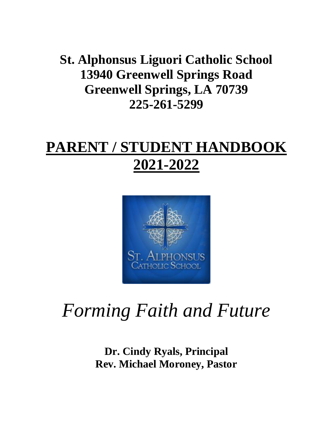**St. Alphonsus Liguori Catholic School 13940 Greenwell Springs Road Greenwell Springs, LA 70739 225-261-5299**

# **PARENT / STUDENT HANDBOOK 2021-2022**



# *Forming Faith and Future*

**Dr. Cindy Ryals, Principal Rev. Michael Moroney, Pastor**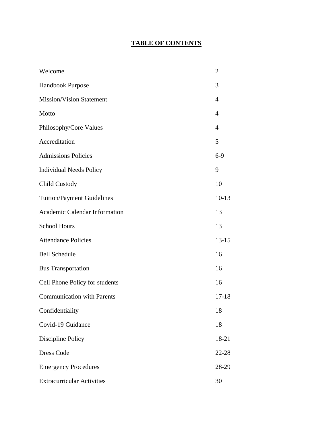## **TABLE OF CONTENTS**

| Welcome                           | $\overline{2}$ |
|-----------------------------------|----------------|
| Handbook Purpose                  | 3              |
| <b>Mission/Vision Statement</b>   | $\overline{4}$ |
| Motto                             | 4              |
| Philosophy/Core Values            | $\overline{4}$ |
| Accreditation                     | 5              |
| <b>Admissions Policies</b>        | $6-9$          |
| <b>Individual Needs Policy</b>    | 9              |
| <b>Child Custody</b>              | 10             |
| <b>Tuition/Payment Guidelines</b> | $10-13$        |
| Academic Calendar Information     | 13             |
| <b>School Hours</b>               | 13             |
| <b>Attendance Policies</b>        | $13 - 15$      |
| <b>Bell Schedule</b>              | 16             |
| <b>Bus Transportation</b>         | 16             |
| Cell Phone Policy for students    | 16             |
| <b>Communication with Parents</b> | $17 - 18$      |
| Confidentiality                   | 18             |
| Covid-19 Guidance                 | 18             |
| Discipline Policy                 | 18-21          |
| <b>Dress Code</b>                 | 22-28          |
| <b>Emergency Procedures</b>       | 28-29          |
| <b>Extracurricular Activities</b> | 30             |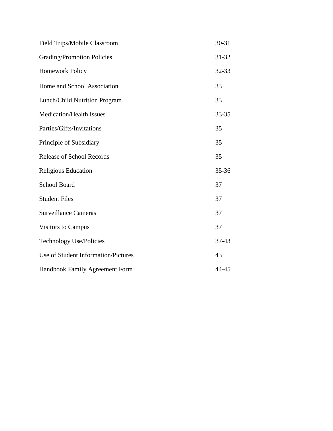| Field Trips/Mobile Classroom         | $30 - 31$ |
|--------------------------------------|-----------|
| <b>Grading/Promotion Policies</b>    | 31-32     |
| <b>Homework Policy</b>               | 32-33     |
| Home and School Association          | 33        |
| <b>Lunch/Child Nutrition Program</b> | 33        |
| <b>Medication/Health Issues</b>      | 33-35     |
| Parties/Gifts/Invitations            | 35        |
| Principle of Subsidiary              | 35        |
| <b>Release of School Records</b>     | 35        |
| Religious Education                  | 35-36     |
| <b>School Board</b>                  | 37        |
| <b>Student Files</b>                 | 37        |
| <b>Surveillance Cameras</b>          | 37        |
| <b>Visitors to Campus</b>            | 37        |
| <b>Technology Use/Policies</b>       | 37-43     |
| Use of Student Information/Pictures  | 43        |
| Handbook Family Agreement Form       | 44-45     |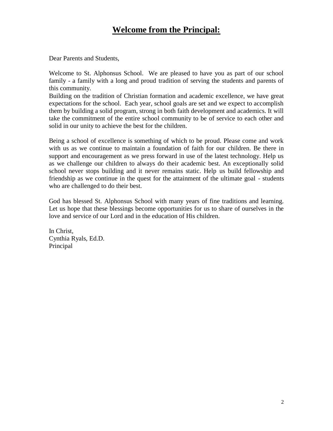## **Welcome from the Principal:**

Dear Parents and Students,

Welcome to St. Alphonsus School. We are pleased to have you as part of our school family - a family with a long and proud tradition of serving the students and parents of this community.

Building on the tradition of Christian formation and academic excellence, we have great expectations for the school. Each year, school goals are set and we expect to accomplish them by building a solid program, strong in both faith development and academics. It will take the commitment of the entire school community to be of service to each other and solid in our unity to achieve the best for the children.

Being a school of excellence is something of which to be proud. Please come and work with us as we continue to maintain a foundation of faith for our children. Be there in support and encouragement as we press forward in use of the latest technology. Help us as we challenge our children to always do their academic best. An exceptionally solid school never stops building and it never remains static. Help us build fellowship and friendship as we continue in the quest for the attainment of the ultimate goal - students who are challenged to do their best.

God has blessed St. Alphonsus School with many years of fine traditions and learning. Let us hope that these blessings become opportunities for us to share of ourselves in the love and service of our Lord and in the education of His children.

In Christ, Cynthia Ryals, Ed.D. Principal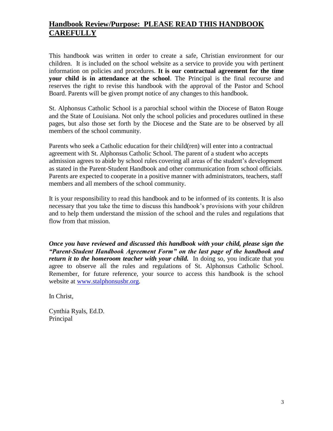## **Handbook Review/Purpose: PLEASE READ THIS HANDBOOK CAREFULLY**

This handbook was written in order to create a safe, Christian environment for our children. It is included on the school website as a service to provide you with pertinent information on policies and procedures. **It is our contractual agreement for the time your child is in attendance at the school**. The Principal is the final recourse and reserves the right to revise this handbook with the approval of the Pastor and School Board. Parents will be given prompt notice of any changes to this handbook.

St. Alphonsus Catholic School is a parochial school within the Diocese of Baton Rouge and the State of Louisiana. Not only the school policies and procedures outlined in these pages, but also those set forth by the Diocese and the State are to be observed by all members of the school community.

Parents who seek a Catholic education for their child(ren) will enter into a contractual agreement with St. Alphonsus Catholic School. The parent of a student who accepts admission agrees to abide by school rules covering all areas of the student's development as stated in the Parent-Student Handbook and other communication from school officials. Parents are expected to cooperate in a positive manner with administrators, teachers, staff members and all members of the school community.

It is your responsibility to read this handbook and to be informed of its contents. It is also necessary that you take the time to discuss this handbook's provisions with your children and to help them understand the mission of the school and the rules and regulations that flow from that mission.

*Once you have reviewed and discussed this handbook with your child, please sign the "Parent-Student Handbook Agreement Form" on the last page of the handbook and return it to the homeroom teacher with your child.* In doing so, you indicate that you agree to observe all the rules and regulations of St. Alphonsus Catholic School. Remember, for future reference, your source to access this handbook is the school website at [www.stalphonsusbr.org.](http://www.stalphonsusbr.org/)

In Christ,

Cynthia Ryals, Ed.D. Principal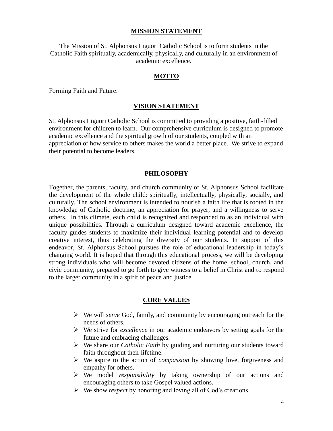#### **MISSION STATEMENT**

The Mission of St. Alphonsus Liguori Catholic School is to form students in the Catholic Faith spiritually, academically, physically, and culturally in an environment of academic excellence.

#### **MOTTO**

Forming Faith and Future.

#### **VISION STATEMENT**

St. Alphonsus Liguori Catholic School is committed to providing a positive, faith-filled environment for children to learn. Our comprehensive curriculum is designed to promote academic excellence and the spiritual growth of our students, coupled with an appreciation of how service to others makes the world a better place. We strive to expand their potential to become leaders.

#### **PHILOSOPHY**

Together, the parents, faculty, and church community of St. Alphonsus School facilitate the development of the whole child: spiritually, intellectually, physically, socially, and culturally. The school environment is intended to nourish a faith life that is rooted in the knowledge of Catholic doctrine, an appreciation for prayer, and a willingness to serve others. In this climate, each child is recognized and responded to as an individual with unique possibilities. Through a curriculum designed toward academic excellence, the faculty guides students to maximize their individual learning potential and to develop creative interest, thus celebrating the diversity of our students. In support of this endeavor, St. Alphonsus School pursues the role of educational leadership in today's changing world. It is hoped that through this educational process, we will be developing strong individuals who will become devoted citizens of the home, school, church, and civic community, prepared to go forth to give witness to a belief in Christ and to respond to the larger community in a spirit of peace and justice.

#### **CORE VALUES**

- We will *serve* God, family, and community by encouraging outreach for the needs of others.
- We strive for *excellence* in our academic endeavors by setting goals for the future and embracing challenges.
- We share our *Catholic Faith* by guiding and nurturing our students toward faith throughout their lifetime.
- We aspire to the action of *compassion* by showing love, forgiveness and empathy for others.
- We model *responsibility* by taking ownership of our actions and encouraging others to take Gospel valued actions.
- We show *respect* by honoring and loving all of God's creations.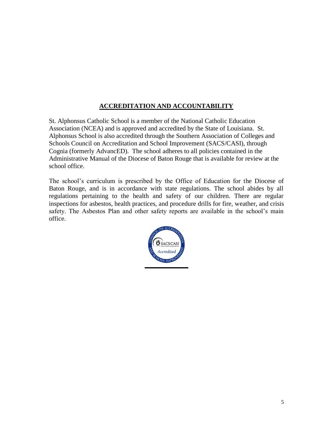## **ACCREDITATION AND ACCOUNTABILITY**

St. Alphonsus Catholic School is a member of the National Catholic Education Association (NCEA) and is approved and accredited by the State of Louisiana. St. Alphonsus School is also accredited through the Southern Association of Colleges and Schools Council on Accreditation and School Improvement (SACS/CASI), through Cognia (formerly AdvancED). The school adheres to all policies contained in the Administrative Manual of the Diocese of Baton Rouge that is available for review at the school office.

The school's curriculum is prescribed by the Office of Education for the Diocese of Baton Rouge, and is in accordance with state regulations. The school abides by all regulations pertaining to the health and safety of our children. There are regular inspections for asbestos, health practices, and procedure drills for fire, weather, and crisis safety. The Asbestos Plan and other safety reports are available in the school's main office.

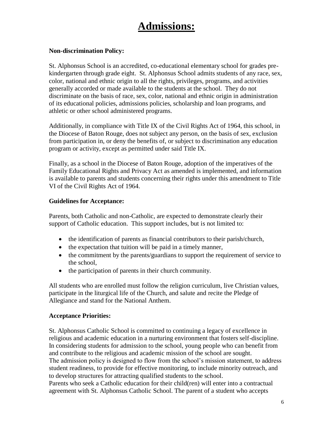## **Admissions:**

## **Non-discrimination Policy:**

St. Alphonsus School is an accredited, co-educational elementary school for grades prekindergarten through grade eight. St. Alphonsus School admits students of any race, sex, color, national and ethnic origin to all the rights, privileges, programs, and activities generally accorded or made available to the students at the school. They do not discriminate on the basis of race, sex, color, national and ethnic origin in administration of its educational policies, admissions policies, scholarship and loan programs, and athletic or other school administered programs.

Additionally, in compliance with Title IX of the Civil Rights Act of 1964, this school, in the Diocese of Baton Rouge, does not subject any person, on the basis of sex, exclusion from participation in, or deny the benefits of, or subject to discrimination any education program or activity, except as permitted under said Title IX.

Finally, as a school in the Diocese of Baton Rouge, adoption of the imperatives of the Family Educational Rights and Privacy Act as amended is implemented, and information is available to parents and students concerning their rights under this amendment to Title VI of the Civil Rights Act of 1964.

## **Guidelines for Acceptance:**

Parents, both Catholic and non-Catholic, are expected to demonstrate clearly their support of Catholic education. This support includes, but is not limited to:

- the identification of parents as financial contributors to their parish/church,
- $\bullet$  the expectation that tuition will be paid in a timely manner,
- the commitment by the parents/guardians to support the requirement of service to the school,
- the participation of parents in their church community.

All students who are enrolled must follow the religion curriculum, live Christian values, participate in the liturgical life of the Church, and salute and recite the Pledge of Allegiance and stand for the National Anthem.

## **Acceptance Priorities:**

St. Alphonsus Catholic School is committed to continuing a legacy of excellence in religious and academic education in a nurturing environment that fosters self-discipline. In considering students for admission to the school, young people who can benefit from and contribute to the religious and academic mission of the school are sought. The admission policy is designed to flow from the school's mission statement, to address student readiness, to provide for effective monitoring, to include minority outreach, and to develop structures for attracting qualified students to the school. Parents who seek a Catholic education for their child(ren) will enter into a contractual agreement with St. Alphonsus Catholic School. The parent of a student who accepts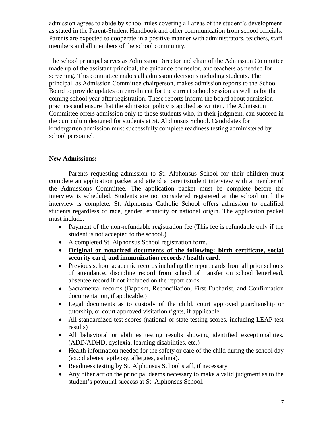admission agrees to abide by school rules covering all areas of the student's development as stated in the Parent-Student Handbook and other communication from school officials. Parents are expected to cooperate in a positive manner with administrators, teachers, staff members and all members of the school community.

The school principal serves as Admission Director and chair of the Admission Committee made up of the assistant principal, the guidance counselor, and teachers as needed for screening. This committee makes all admission decisions including students. The principal, as Admission Committee chairperson, makes admission reports to the School Board to provide updates on enrollment for the current school session as well as for the coming school year after registration. These reports inform the board about admission practices and ensure that the admission policy is applied as written. The Admission Committee offers admission only to those students who, in their judgment, can succeed in the curriculum designed for students at St. Alphonsus School. Candidates for kindergarten admission must successfully complete readiness testing administered by school personnel.

## **New Admissions:**

Parents requesting admission to St. Alphonsus School for their children must complete an application packet and attend a parent/student interview with a member of the Admissions Committee. The application packet must be complete before the interview is scheduled. Students are not considered registered at the school until the interview is complete. St. Alphonsus Catholic School offers admission to qualified students regardless of race, gender, ethnicity or national origin. The application packet must include:

- Payment of the non-refundable registration fee (This fee is refundable only if the student is not accepted to the school.)
- A completed St. Alphonsus School registration form.
- **Original or notarized documents of the following: birth certificate, social security card, and immunization records / health card.**
- Previous school academic records including the report cards from all prior schools of attendance, discipline record from school of transfer on school letterhead, absentee record if not included on the report cards.
- Sacramental records (Baptism, Reconciliation, First Eucharist, and Confirmation documentation, if applicable.)
- Legal documents as to custody of the child, court approved guardianship or tutorship, or court approved visitation rights, if applicable.
- All standardized test scores (national or state testing scores, including LEAP test results)
- All behavioral or abilities testing results showing identified exceptionalities. (ADD/ADHD, dyslexia, learning disabilities, etc.)
- Health information needed for the safety or care of the child during the school day (ex.: diabetes, epilepsy, allergies, asthma).
- Readiness testing by St. Alphonsus School staff, if necessary
- Any other action the principal deems necessary to make a valid judgment as to the student's potential success at St. Alphonsus School.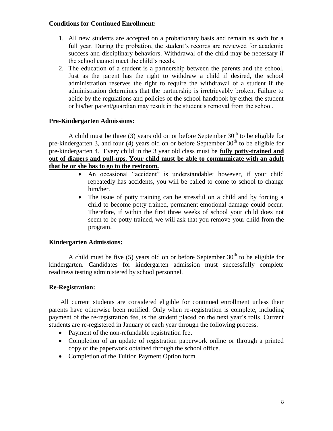#### **Conditions for Continued Enrollment:**

- 1. All new students are accepted on a probationary basis and remain as such for a full year. During the probation, the student's records are reviewed for academic success and disciplinary behaviors. Withdrawal of the child may be necessary if the school cannot meet the child's needs.
- 2. The education of a student is a partnership between the parents and the school. Just as the parent has the right to withdraw a child if desired, the school administration reserves the right to require the withdrawal of a student if the administration determines that the partnership is irretrievably broken. Failure to abide by the regulations and policies of the school handbook by either the student or his/her parent/guardian may result in the student's removal from the school.

## **Pre-Kindergarten Admissions:**

A child must be three (3) years old on or before September  $30<sup>th</sup>$  to be eligible for pre-kindergarten 3, and four (4) years old on or before September  $30<sup>th</sup>$  to be eligible for pre-kindergarten 4. Every child in the 3 year old class must be **fully potty-trained and out of diapers and pull-ups. Your child must be able to communicate with an adult that he or she has to go to the restroom.** 

- An occasional "accident" is understandable; however, if your child repeatedly has accidents, you will be called to come to school to change him/her.
- The issue of potty training can be stressful on a child and by forcing a child to become potty trained, permanent emotional damage could occur. Therefore, if within the first three weeks of school your child does not seem to be potty trained, we will ask that you remove your child from the program.

## **Kindergarten Admissions:**

A child must be five (5) years old on or before September  $30<sup>th</sup>$  to be eligible for kindergarten. Candidates for kindergarten admission must successfully complete readiness testing administered by school personnel.

## **Re-Registration:**

All current students are considered eligible for continued enrollment unless their parents have otherwise been notified. Only when re-registration is complete, including payment of the re-registration fee, is the student placed on the next year's rolls. Current students are re-registered in January of each year through the following process.

- Payment of the non-refundable registration fee.
- Completion of an update of registration paperwork online or through a printed copy of the paperwork obtained through the school office.
- Completion of the Tuition Payment Option form.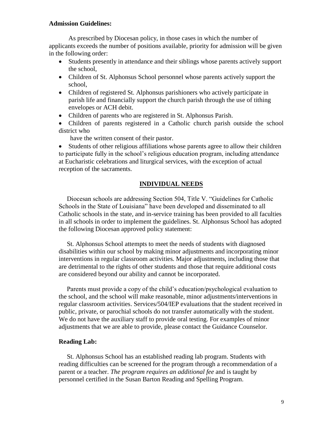#### **Admission Guidelines:**

As prescribed by Diocesan policy, in those cases in which the number of applicants exceeds the number of positions available, priority for admission will be given in the following order:

- Students presently in attendance and their siblings whose parents actively support the school,
- Children of St. Alphonsus School personnel whose parents actively support the school,
- Children of registered St. Alphonsus parishioners who actively participate in parish life and financially support the church parish through the use of tithing envelopes or ACH debit.
- Children of parents who are registered in St. Alphonsus Parish.
- Children of parents registered in a Catholic church parish outside the school district who

have the written consent of their pastor.

 Students of other religious affiliations whose parents agree to allow their children to participate fully in the school's religious education program, including attendance at Eucharistic celebrations and liturgical services, with the exception of actual reception of the sacraments.

#### **INDIVIDUAL NEEDS**

 Diocesan schools are addressing Section 504, Title V. "Guidelines for Catholic Schools in the State of Louisiana" have been developed and disseminated to all Catholic schools in the state, and in-service training has been provided to all faculties in all schools in order to implement the guidelines. St. Alphonsus School has adopted the following Diocesan approved policy statement:

 St. Alphonsus School attempts to meet the needs of students with diagnosed disabilities within our school by making minor adjustments and incorporating minor interventions in regular classroom activities. Major adjustments, including those that are detrimental to the rights of other students and those that require additional costs are considered beyond our ability and cannot be incorporated.

 Parents must provide a copy of the child's education/psychological evaluation to the school, and the school will make reasonable, minor adjustments/interventions in regular classroom activities. Services/504/IEP evaluations that the student received in public, private, or parochial schools do not transfer automatically with the student. We do not have the auxiliary staff to provide oral testing. For examples of minor adjustments that we are able to provide, please contact the Guidance Counselor.

#### **Reading Lab:**

 St. Alphonsus School has an established reading lab program. Students with reading difficulties can be screened for the program through a recommendation of a parent or a teacher. *The program requires an additional fee* and is taught by personnel certified in the Susan Barton Reading and Spelling Program.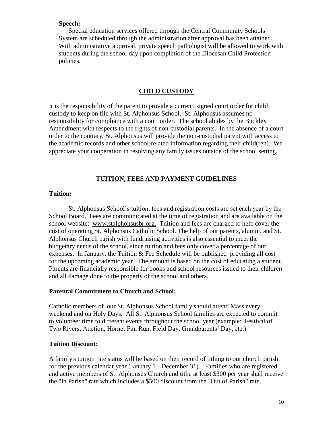#### **Speech:**

 Special education services offered through the Central Community Schools System are scheduled through the administration after approval has been attained. With administrative approval, private speech pathologist will be allowed to work with students during the school day upon completion of the Diocesan Child Protection policies.

#### **CHILD CUSTODY**

It is the responsibility of the parent to provide a current, signed court order for child custody to keep on file with St. Alphonsus School. St. Alphonsus assumes no responsibility for compliance with a court order. The school abides by the Buckley Amendment with respects to the rights of non-custodial parents. In the absence of a court order to the contrary, St. Alphonsus will provide the non-custodial parent with access to the academic records and other school-related information regarding their child(ren). We appreciate your cooperation in resolving any family issues outside of the school setting.

#### **TUITION, FEES AND PAYMENT GUIDELINES**

#### **Tuition:**

St. Alphonsus School's tuition, fees and registration costs are set each year by the School Board. Fees are communicated at the time of registration and are available on the school website: www.stalphonsusbr.org. Tuition and fees are charged to help cover the cost of operating St. Alphonsus Catholic School. The help of our parents, alumni, and St. Alphonsus Church parish with fundraising activities is also essential to meet the budgetary needs of the school, since tuition and fees only cover a percentage of our expenses. In January, the Tuition  $\&$  Fee Schedule will be published providing all cost for the upcoming academic year. The amount is based on the cost of educating a student. Parents are financially responsible for books and school resources issued to their children and all damage done to the property of the school and others.

#### **Parental Commitment to Church and School:**

Catholic members of our St. Alphonsus School family should attend Mass every weekend and on Holy Days. All St. Alphonsus School families are expected to commit to volunteer time to different events throughout the school year (example: Festival of Two Rivers, Auction, Hornet Fun Run, Field Day, Grandparents' Day, etc.)

#### **Tuition Discount:**

A family's tuition rate status will be based on their record of tithing to our church parish for the previous calendar year (January 1 - December 31). Families who are registered and active members of St. Alphonsus Church and tithe at least \$300 per year shall receive the "In Parish" rate which includes a \$500 discount from the "Out of Parish" rate.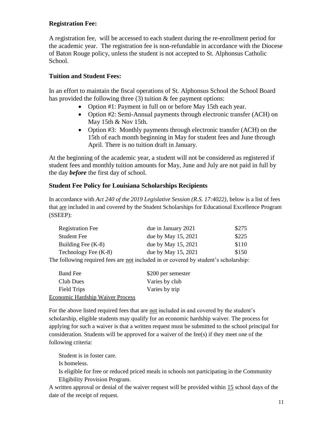## **Registration Fee:**

A registration fee, will be accessed to each student during the re-enrollment period for the academic year. The registration fee is non-refundable in accordance with the Diocese of Baton Rouge policy, unless the student is not accepted to St. Alphonsus Catholic School.

## **Tuition and Student Fees:**

In an effort to maintain the fiscal operations of St. Alphonsus School the School Board has provided the following three  $(3)$  tuition  $\&$  fee payment options:

- Option #1: Payment in full on or before May 15th each year.
- Option #2: Semi-Annual payments through electronic transfer (ACH) on May 15th & Nov 15th.
- Option #3: Monthly payments through electronic transfer (ACH) on the 15th of each month beginning in May for student fees and June through April. There is no tuition draft in January.

At the beginning of the academic year, a student will not be considered as registered if student fees and monthly tuition amounts for May, June and July are not paid in full by the day *before* the first day of school.

#### **Student Fee Policy for Louisiana Scholarships Recipients**

In accordance with *Act 240 of the 2019 Legislative Session (R.S. 17:4022)*, below is a list of fees that are included in and covered by the Student Scholarships for Educational Excellence Program (SSEEP):

| <b>Registration Fee</b> | due in January 2021  | \$275 |
|-------------------------|----------------------|-------|
| <b>Student Fee</b>      | due by May 15, 2021  | \$225 |
| Building Fee $(K-8)$    | due by May 15, 2021  | \$110 |
| Technology Fee (K-8)    | due by May 15, 2021  | \$150 |
|                         | 11 1 1 1 1 1 1 1 1 1 |       |

The following required fees are not included in or covered by student's scholarship:

| <b>Band Fee</b>                         | \$200 per semester |
|-----------------------------------------|--------------------|
| Club Dues                               | Varies by club     |
| Field Trips                             | Varies by trip     |
| <b>Economic Hardship Waiver Process</b> |                    |

For the above listed required fees that are not included in and covered by the student's scholarship, eligible students may qualify for an economic hardship waiver. The process for applying for such a waiver is that a written request must be submitted to the school principal for consideration. Students will be approved for a waiver of the fee(s) if they meet one of the following criteria:

Student is in foster care.

Is homeless.

Is eligible for free or reduced priced meals in schools not participating in the Community Eligibility Provision Program.

A written approval or denial of the waiver request will be provided within 15 school days of the date of the receipt of request.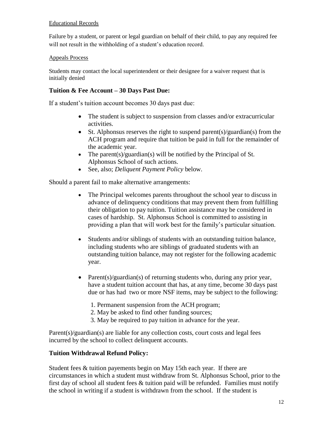#### Educational Records

Failure by a student, or parent or legal guardian on behalf of their child, to pay any required fee will not result in the withholding of a student's education record.

#### Appeals Process

Students may contact the local superintendent or their designee for a waiver request that is initially denied

#### **Tuition & Fee Account – 30 Days Past Due:**

If a student's tuition account becomes 30 days past due:

- The student is subject to suspension from classes and/or extracurricular activities.
- $\bullet$  St. Alphonsus reserves the right to suspend parent(s)/guardian(s) from the ACH program and require that tuition be paid in full for the remainder of the academic year.
- The parent(s)/guardian(s) will be notified by the Principal of St. Alphonsus School of such actions.
- See, also; *Deliquent Payment Policy* below.

Should a parent fail to make alternative arrangements:

- The Principal welcomes parents throughout the school year to discuss in advance of delinquency conditions that may prevent them from fulfilling their obligation to pay tuition. Tuition assistance may be considered in cases of hardship. St. Alphonsus School is committed to assisting in providing a plan that will work best for the family's particular situation.
- Students and/or siblings of students with an outstanding tuition balance, including students who are siblings of graduated students with an outstanding tuition balance, may not register for the following academic year.
- Parent(s)/guardian(s) of returning students who, during any prior year, have a student tuition account that has, at any time, become 30 days past due or has had two or more NSF items, may be subject to the following:
	- 1. Permanent suspension from the ACH program;
	- 2. May be asked to find other funding sources;
	- 3. May be required to pay tuition in advance for the year.

Parent(s)/guardian(s) are liable for any collection costs, court costs and legal fees incurred by the school to collect delinquent accounts.

#### **Tuition Withdrawal Refund Policy:**

Student fees & tuition payements begin on May 15th each year. If there are circumstances in which a student must withdraw from St. Alphonsus School, prior to the first day of school all student fees & tuition paid will be refunded. Families must notify the school in writing if a student is withdrawn from the school. If the student is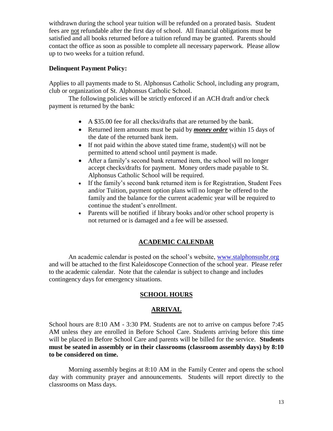withdrawn during the school year tuition will be refunded on a prorated basis. Student fees are not refundable after the first day of school. All financial obligations must be satisfied and all books returned before a tuition refund may be granted. Parents should contact the office as soon as possible to complete all necessary paperwork. Please allow up to two weeks for a tuition refund.

## **Delinquent Payment Policy:**

Applies to all payments made to St. Alphonsus Catholic School, including any program, club or organization of St. Alphonsus Catholic School.

The following policies will be strictly enforced if an ACH draft and/or check payment is returned by the bank:

- A \$35.00 fee for all checks/drafts that are returned by the bank.
- Returned item amounts must be paid by *money order* within 15 days of the date of the returned bank item.
- $\bullet$  If not paid within the above stated time frame, student(s) will not be permitted to attend school until payment is made.
- After a family's second bank returned item, the school will no longer accept checks/drafts for payment. Money orders made payable to St. Alphonsus Catholic School will be required.
- If the family's second bank returned item is for Registration, Student Fees and/or Tuition, payment option plans will no longer be offered to the family and the balance for the current academic year will be required to continue the student's enrollment.
- Parents will be notified if library books and/or other school property is not returned or is damaged and a fee will be assessed.

## **ACADEMIC CALENDAR**

An academic calendar is posted on the school's website, [www.stalphonsusbr.org](http://www.stalphonsusbr.org/) and will be attached to the first Kaleidoscope Connection of the school year. Please refer to the academic calendar. Note that the calendar is subject to change and includes contingency days for emergency situations.

## **SCHOOL HOURS**

## **ARRIVAL**

School hours are 8:10 AM - 3:30 PM. Students are not to arrive on campus before 7:45 AM unless they are enrolled in Before School Care. Students arriving before this time will be placed in Before School Care and parents will be billed for the service. **Students must be seated in assembly or in their classrooms (classroom assembly days) by 8:10 to be considered on time.**

Morning assembly begins at 8:10 AM in the Family Center and opens the school day with community prayer and announcements. Students will report directly to the classrooms on Mass days.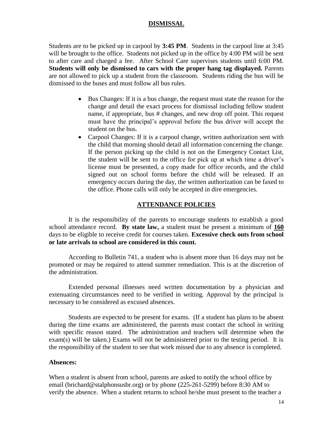#### **DISMISSAL**

Students are to be picked up in carpool by **3:45 PM**. Students in the carpool line at 3:45 will be brought to the office. Students not picked up in the office by 4:00 PM will be sent to after care and charged a fee. After School Care supervises students until 6:00 PM. **Students will only be dismissed to cars with the proper hang tag displayed.** Parents are not allowed to pick up a student from the classroom. Students riding the bus will be dismissed to the buses and must follow all bus rules.

- Bus Changes: If it is a bus change, the request must state the reason for the change and detail the exact process for dismissal including fellow student name, if appropriate, bus # changes, and new drop off point. This request must have the principal's approval before the bus driver will accept the student on the bus.
- Carpool Changes: If it is a carpool change, written authorization sent with the child that morning should detail all information concerning the change. If the person picking up the child is not on the Emergency Contact List, the student will be sent to the office for pick up at which time a driver's license must be presented, a copy made for office records, and the child signed out on school forms before the child will be released. If an emergency occurs during the day, the written authorization can be faxed to the office. Phone calls will only be accepted in dire emergencies.

#### **ATTENDANCE POLICIES**

It is the responsibility of the parents to encourage students to establish a good school attendance record. **By state law,** a student must be present a minimum of **160** days to be eligible to receive credit for courses taken. **Excessive check outs from school or late arrivals to school are considered in this count.**

According to Bulletin 741, a student who is absent more than 16 days may not be promoted or may be required to attend summer remediation. This is at the discretion of the administration.

Extended personal illnesses need written documentation by a physician and extenuating circumstances need to be verified in writing. Approval by the principal is necessary to be considered as excused absences.

Students are expected to be present for exams. (If a student has plans to be absent during the time exams are administered, the parents must contact the school in writing with specific reason stated. The administration and teachers will determine when the exam(s) will be taken.) Exams will not be administered prior to the testing period. It is the responsibility of the student to see that work missed due to any absence is completed.

#### **Absences:**

When a student is absent from school, parents are asked to notify the school office by email (brichard@stalphonsusbr.org) or by phone (225-261-5299) before 8:30 AM to verify the absence. When a student returns to school he/she must present to the teacher a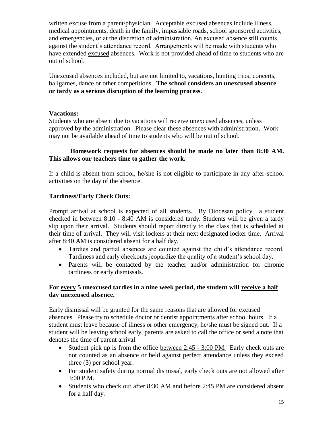written excuse from a parent/physician. Acceptable excused absences include illness, medical appointments, death in the family, impassable roads, school sponsored activities, and emergencies, or at the discretion of administration. An excused absence still counts against the student's attendance record. Arrangements will be made with students who have extended excused absences. Work is not provided ahead of time to students who are out of school.

Unexcused absences included, but are not limited to, vacations, hunting trips, concerts, ballgames, dance or other competitions. **The school considers an unexcused absence or tardy as a serious disruption of the learning process.**

#### **Vacations:**

Students who are absent due to vacations will receive unexcused absences, unless approved by the administration. Please clear these absences with administration. Work may not be available ahead of time to students who will be out of school.

#### **Homework requests for absences should be made no later than 8:30 AM. This allows our teachers time to gather the work.**

If a child is absent from school, he/she is not eligible to participate in any after-school activities on the day of the absence.

#### **Tardiness/Early Check Outs:**

Prompt arrival at school is expected of all students. By Diocesan policy,a student checked in between 8:10 - 8:40 AM is considered tardy. Students will be given a tardy slip upon their arrival. Students should report directly to the class that is scheduled at their time of arrival. They will visit lockers at their next designated locker time. Arrival after 8:40 AM is considered absent for a half day.

- Tardies and partial absences are counted against the child's attendance record. Tardiness and early checkouts jeopardize the quality of a student's school day.
- Parents will be contacted by the teacher and/or administration for chronic tardiness or early dismissals.

#### **For every 5 unexcused tardies in a nine week period, the student will receive a half day unexcused absence.**

Early dismissal will be granted for the same reasons that are allowed for excused absences. Please try to schedule doctor or dentist appointments after school hours. If a student must leave because of illness or other emergency, he/she must be signed out. If a student will be leaving school early, parents are asked to call the office or send a note that denotes the time of parent arrival.

- Student pick up is from the office between  $2:45 3:00$  PM. Early check outs are not counted as an absence or held against perfect attendance unless they exceed three (3) per school year.
- For student safety during normal dismissal, early check outs are not allowed after 3:00 P.M.
- Students who check out after 8:30 AM and before 2:45 PM are considered absent for a half day.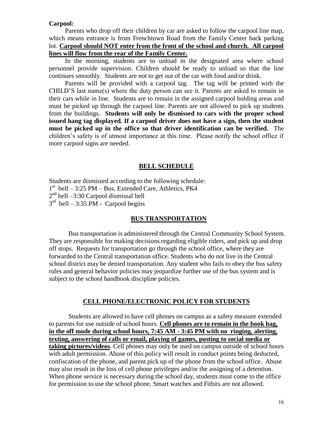#### **Carpool:**

Parents who drop off their children by car are asked to follow the carpool line map, which means entrance is from Frenchtown Road from the Family Center back parking lot. **Carpool should NOT enter from the front of the school and church. All carpool lines will flow from the rear of the Family Center.**

In the morning, students are to unload in the designated area where school personnel provide supervision. Children should be ready to unload so that the line continues smoothly. Students are not to get out of the car with food and/or drink.

Parents will be provided with a carpool tag. The tag will be printed with the CHILD'S last name(s) where the duty person can see it. Parents are asked to remain in their cars while in line. Students are to remain in the assigned carpool holding areas and must be picked up through the carpool line. Parents are not allowed to pick up students from the buildings. **Students will only be dismissed to cars with the proper school issued hang tag displayed. If a carpool driver does not have a sign, then the student must be picked up in the office so that driver identification can be verified.** The children's safety is of utmost importance at this time. Please notify the school office if more carpool signs are needed.

#### **BELL SCHEDULE**

Students are dismissed according to the following schedule:

1 st bell – 3:25 PM – Bus, Extended Care, Athletics, PK4

2<sup>nd</sup> bell –3:30 Carpool dismissal bell

 $3<sup>rd</sup>$  bell – 3:35 PM - Carpool begins

#### **BUS TRANSPORTATION**

Bus transportation is administered through the Central Community School System. They are responsible for making decisions regarding eligible riders, and pick up and drop off stops. Requests for transportation go through the school office, where they are forwarded to the Central transportation office. Students who do not live in the Central school district may be denied transportation. Any student who fails to obey the bus safety rules and general behavior policies may jeopardize further use of the bus system and is subject to the school handbook discipline policies.

#### **CELL PHONE/ELECTRONIC POLICY FOR STUDENTS**

Students are allowed to have cell phones on campus as a safety measure extended to parents for use outside of school hours. **Cell phones are to remain in the book bag, in the off mode during school hours, 7:45 AM - 3:45 PM with no ringing, alerting, texting, answering of calls or email, playing of games, posting to social media or taking pictures/videos**. Cell phones may only be used on campus outside of school hours with adult permission. Abuse of this policy will result in conduct points being deducted, confiscation of the phone, and parent pick up of the phone from the school office. Abuse may also result in the loss of cell phone privileges and/or the assigning of a detention. When phone service is necessary during the school day, students must come to the office for permission to use the school phone. Smart watches and Fitbits are not allowed.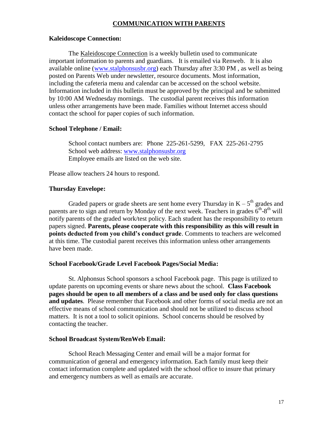#### **COMMUNICATION WITH PARENTS**

#### **Kaleidoscope Connection:**

The Kaleidoscope Connection is a weekly bulletin used to communicate important information to parents and guardians. It is emailed via Renweb. It is also available online [\(www.stalphonsusbr.org\)](http://www.stalphonsusbr.org/) each Thursday after 3:30 PM , as well as being posted on Parents Web under newsletter, resource documents. Most information, including the cafeteria menu and calendar can be accessed on the school website. Information included in this bulletin must be approved by the principal and be submitted by 10:00 AM Wednesday mornings. The custodial parent receives this information unless other arrangements have been made. Families without Internet access should contact the school for paper copies of such information.

#### **School Telephone / Email:**

School contact numbers are: Phone 225-261-5299, FAX 225-261-2795 School web address: [www.stalphonsusbr.org](http://www.stalphonsusbr.org/) Employee emails are listed on the web site.

Please allow teachers 24 hours to respond.

#### **Thursday Envelope:**

Graded papers or grade sheets are sent home every Thursday in  $K - 5<sup>th</sup>$  grades and parents are to sign and return by Monday of the next week. Teachers in grades  $6<sup>th</sup>-8<sup>th</sup>$  will notify parents of the graded work/test policy. Each student has the responsibility to return papers signed. **Parents, please cooperate with this responsibility as this will result in points deducted from you child's conduct grade**. Comments to teachers are welcomed at this time. The custodial parent receives this information unless other arrangements have been made.

#### **School Facebook/Grade Level Facebook Pages/Social Media:**

St. Alphonsus School sponsors a school Facebook page. This page is utilized to update parents on upcoming events or share news about the school. **Class Facebook pages should be open to all members of a class and be used only for class questions and updates**. Please remember that Facebook and other forms of social media are not an effective means of school communication and should not be utilized to discuss school matters. It is not a tool to solicit opinions. School concerns should be resolved by contacting the teacher.

#### **School Broadcast System/RenWeb Email:**

School Reach Messaging Center and email will be a major format for communication of general and emergency information. Each family must keep their contact information complete and updated with the school office to insure that primary and emergency numbers as well as emails are accurate.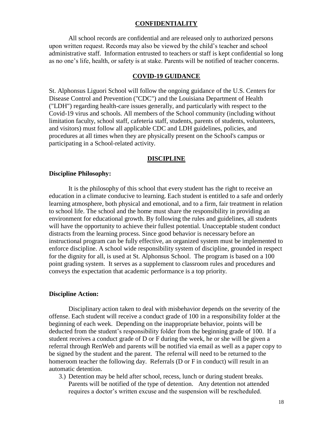#### **CONFIDENTIALITY**

All school records are confidential and are released only to authorized persons upon written request. Records may also be viewed by the child's teacher and school administrative staff. Information entrusted to teachers or staff is kept confidential so long as no one's life, health, or safety is at stake. Parents will be notified of teacher concerns.

#### **COVID-19 GUIDANCE**

St. Alphonsus Liguori School will follow the ongoing guidance of the U.S. Centers for Disease Control and Prevention ("CDC") and the Louisiana Department of Health ("LDH") regarding health-care issues generally, and particularly with respect to the Covid-19 virus and schools. All members of the School community (including without limitation faculty, school staff, cafeteria staff, students, parents of students, volunteers, and visitors) must follow all applicable CDC and LDH guidelines, policies, and procedures at all times when they are physically present on the School's campus or participating in a School-related activity.

#### **DISCIPLINE**

#### **Discipline Philosophy:**

It is the philosophy of this school that every student has the right to receive an education in a climate conducive to learning. Each student is entitled to a safe and orderly learning atmosphere, both physical and emotional, and to a firm, fair treatment in relation to school life. The school and the home must share the responsibility in providing an environment for educational growth. By following the rules and guidelines, all students will have the opportunity to achieve their fullest potential. Unacceptable student conduct distracts from the learning process. Since good behavior is necessary before an instructional program can be fully effective, an organized system must be implemented to enforce discipline. A school wide responsibility system of discipline, grounded in respect for the dignity for all, is used at St. Alphonsus School. The program is based on a 100 point grading system. It serves as a supplement to classroom rules and procedures and conveys the expectation that academic performance is a top priority.

#### **Discipline Action:**

Disciplinary action taken to deal with misbehavior depends on the severity of the offense. Each student will receive a conduct grade of 100 in a responsibility folder at the beginning of each week. Depending on the inappropriate behavior, points will be deducted from the student's responsibility folder from the beginning grade of 100. If a student receives a conduct grade of D or F during the week, he or she will be given a referral through RenWeb and parents will be notified via email as well as a paper copy to be signed by the student and the parent. The referral will need to be returned to the homeroom teacher the following day. Referrals (D or F in conduct) will result in an automatic detention.

3.) Detention may be held after school, recess, lunch or during student breaks. Parents will be notified of the type of detention. Any detention not attended requires a doctor's written excuse and the suspension will be rescheduled.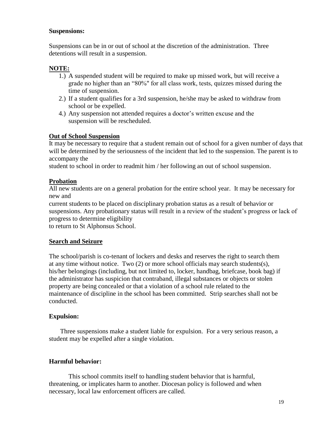#### **Suspensions:**

Suspensions can be in or out of school at the discretion of the administration. Three detentions will result in a suspension.

#### **NOTE:**

- 1.) A suspended student will be required to make up missed work, but will receive a grade no higher than an "80%" for all class work, tests, quizzes missed during the time of suspension.
- 2.) If a student qualifies for a 3rd suspension, he/she may be asked to withdraw from school or be expelled.
- 4.) Any suspension not attended requires a doctor's written excuse and the suspension will be rescheduled.

#### **Out of School Suspension**

It may be necessary to require that a student remain out of school for a given number of days that will be determined by the seriousness of the incident that led to the suspension. The parent is to accompany the

student to school in order to readmit him / her following an out of school suspension.

#### **Probation**

All new students are on a general probation for the entire school year. It may be necessary for new and

current students to be placed on disciplinary probation status as a result of behavior or suspensions. Any probationary status will result in a review of the student's progress or lack of progress to determine eligibility

to return to St Alphonsus School.

#### **Search and Seizure**

The school/parish is co-tenant of lockers and desks and reserves the right to search them at any time without notice. Two (2) or more school officials may search students(s), his/her belongings (including, but not limited to, locker, handbag, briefcase, book bag) if the administrator has suspicion that contraband, illegal substances or objects or stolen property are being concealed or that a violation of a school rule related to the maintenance of discipline in the school has been committed. Strip searches shall not be conducted.

#### **Expulsion:**

Three suspensions make a student liable for expulsion. For a very serious reason, a student may be expelled after a single violation.

#### **Harmful behavior:**

This school commits itself to handling student behavior that is harmful, threatening, or implicates harm to another. Diocesan policy is followed and when necessary, local law enforcement officers are called.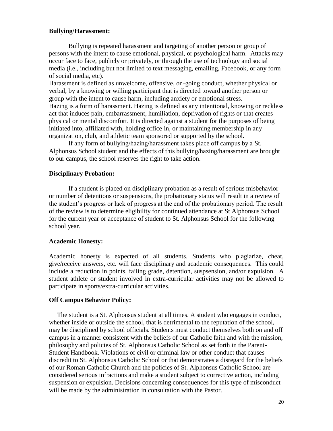#### **Bullying/Harassment:**

Bullying is repeated harassment and targeting of another person or group of persons with the intent to cause emotional, physical, or psychological harm. Attacks may occur face to face, publicly or privately, or through the use of technology and social media (i.e., including but not limited to text messaging, emailing, Facebook, or any form of social media, etc).

Harassment is defined as unwelcome, offensive, on-going conduct, whether physical or verbal, by a knowing or willing participant that is directed toward another person or group with the intent to cause harm, including anxiety or emotional stress. Hazing is a form of harassment. Hazing is defined as any intentional, knowing or reckless act that induces pain, embarrassment, humiliation, deprivation of rights or that creates physical or mental discomfort. It is directed against a student for the purposes of being initiated into, affiliated with, holding office in, or maintaining membership in any organization, club, and athletic team sponsored or supported by the school.

If any form of bullying/hazing/harassment takes place off campus by a St. Alphonsus School student and the effects of this bullying/hazing/harassment are brought to our campus, the school reserves the right to take action.

#### **Disciplinary Probation:**

If a student is placed on disciplinary probation as a result of serious misbehavior or number of detentions or suspensions, the probationary status will result in a review of the student's progress or lack of progress at the end of the probationary period. The result of the review is to determine eligibility for continued attendance at St Alphonsus School for the current year or acceptance of student to St. Alphonsus School for the following school year.

#### **Academic Honesty:**

Academic honesty is expected of all students. Students who plagiarize, cheat, give/receive answers, etc. will face disciplinary and academic consequences. This could include a reduction in points, failing grade, detention, suspsension, and/or expulsion. A student athlete or student involved in extra-curricular activities may not be allowed to participate in sports/extra-curricular activities.

#### **Off Campus Behavior Policy:**

The student is a St. Alphonsus student at all times. A student who engages in conduct, whether inside or outside the school, that is detrimental to the reputation of the school, may be disciplined by school officials. Students must conduct themselves both on and off campus in a manner consistent with the beliefs of our Catholic faith and with the mission, philosophy and policies of St. Alphonsus Catholic School as set forth in the Parent-Student Handbook. Violations of civil or criminal law or other conduct that causes discredit to St. Alphonsus Catholic School or that demonstrates a disregard for the beliefs of our Roman Catholic Church and the policies of St. Alphonsus Catholic School are considered serious infractions and make a student subject to corrective action, including suspension or expulsion. Decisions concerning consequences for this type of misconduct will be made by the administration in consultation with the Pastor.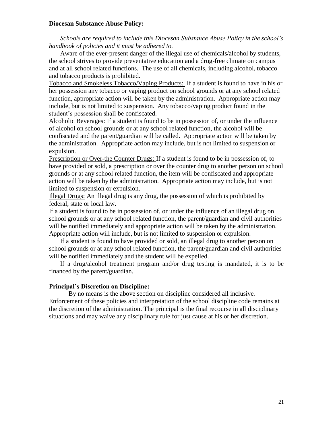#### **Diocesan Substance Abuse Policy:**

*Schools are required to include this Diocesan Substance Abuse Policy in the school's handbook of policies and it must be adhered to.*

Aware of the ever-present danger of the illegal use of chemicals/alcohol by students, the school strives to provide preventative education and a drug-free climate on campus and at all school related functions. The use of all chemicals, including alcohol, tobacco and tobacco products is prohibited.

Tobacco and Smokeless Tobacco/Vaping Products: If a student is found to have in his or her possession any tobacco or vaping product on school grounds or at any school related function, appropriate action will be taken by the administration. Appropriate action may include, but is not limited to suspension. Any tobacco/vaping product found in the student's possession shall be confiscated.

Alcoholic Beverages: If a student is found to be in possession of, or under the influence of alcohol on school grounds or at any school related function, the alcohol will be confiscated and the parent/guardian will be called. Appropriate action will be taken by the administration. Appropriate action may include, but is not limited to suspension or expulsion.

Prescription or Over-the Counter Drugs: If a student is found to be in possession of, to have provided or sold, a prescription or over the counter drug to another person on school grounds or at any school related function, the item will be confiscated and appropriate action will be taken by the administration. Appropriate action may include, but is not limited to suspension or expulsion.

Illegal Drugs: An illegal drug is any drug, the possession of which is prohibited by federal, state or local law.

If a student is found to be in possession of, or under the influence of an illegal drug on school grounds or at any school related function, the parent/guardian and civil authorities will be notified immediately and appropriate action will be taken by the administration. Appropriate action will include, but is not limited to suspension or expulsion.

If a student is found to have provided or sold, an illegal drug to another person on school grounds or at any school related function, the parent/guardian and civil authorities will be notified immediately and the student will be expelled.

If a drug/alcohol treatment program and/or drug testing is mandated, it is to be financed by the parent/guardian.

#### **Principal's Discretion on Discipline:**

By no means is the above section on discipline considered all inclusive. Enforcement of these policies and interpretation of the school discipline code remains at the discretion of the administration. The principal is the final recourse in all disciplinary situations and may waive any disciplinary rule for just cause at his or her discretion.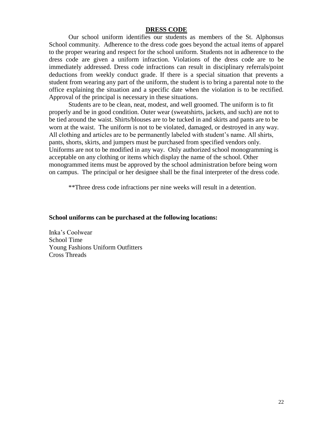#### **DRESS CODE**

Our school uniform identifies our students as members of the St. Alphonsus School community. Adherence to the dress code goes beyond the actual items of apparel to the proper wearing and respect for the school uniform. Students not in adherence to the dress code are given a uniform infraction. Violations of the dress code are to be immediately addressed. Dress code infractions can result in disciplinary referrals/point deductions from weekly conduct grade. If there is a special situation that prevents a student from wearing any part of the uniform, the student is to bring a parental note to the office explaining the situation and a specific date when the violation is to be rectified. Approval of the principal is necessary in these situations.

Students are to be clean, neat, modest, and well groomed. The uniform is to fit properly and be in good condition. Outer wear (sweatshirts, jackets, and such) are not to be tied around the waist. Shirts/blouses are to be tucked in and skirts and pants are to be worn at the waist. The uniform is not to be violated, damaged, or destroyed in any way. All clothing and articles are to be permanently labeled with student's name. All shirts, pants, shorts, skirts, and jumpers must be purchased from specified vendors only. Uniforms are not to be modified in any way. Only authorized school monogramming is acceptable on any clothing or items which display the name of the school. Other monogrammed items must be approved by the school administration before being worn on campus. The principal or her designee shall be the final interpreter of the dress code.

\*\*Three dress code infractions per nine weeks will result in a detention.

#### **School uniforms can be purchased at the following locations:**

Inka's Coolwear School Time Young Fashions Uniform Outfitters Cross Threads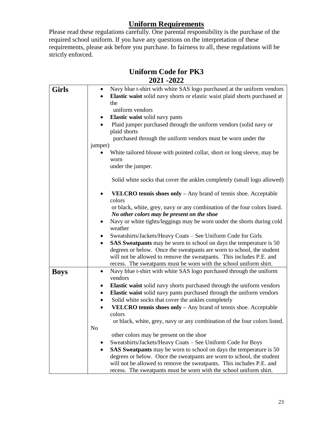## **Uniform Requirements**

Please read these regulations carefully. One parental responsibility is the purchase of the required school uniform. If you have any questions on the interpretation of these requirements, please ask before you purchase. In fairness to all, these regulations will be strictly enforced.

| <b>Uniform Code for PK3</b> |  |
|-----------------------------|--|
| 2021 - 2022                 |  |

| <b>Girls</b> | Navy blue t-shirt with white SAS logo purchased at the uniform vendors           |  |  |  |
|--------------|----------------------------------------------------------------------------------|--|--|--|
|              | Elastic waist solid navy shorts or elastic waist plaid shorts purchased at       |  |  |  |
|              | the                                                                              |  |  |  |
|              | uniform vendors                                                                  |  |  |  |
|              | Elastic waist solid navy pants                                                   |  |  |  |
|              | Plaid jumper purchased through the uniform vendors (solid navy or                |  |  |  |
|              | plaid shorts                                                                     |  |  |  |
|              | purchased through the uniform vendors must be worn under the                     |  |  |  |
|              | jumper)                                                                          |  |  |  |
|              | White tailored blouse with pointed collar, short or long sleeve, may be          |  |  |  |
|              | worn                                                                             |  |  |  |
|              | under the jumper.                                                                |  |  |  |
|              |                                                                                  |  |  |  |
|              | Solid white socks that cover the ankles completely (small logo allowed)          |  |  |  |
|              | VELCRO tennis shoes only - Any brand of tennis shoe. Acceptable<br>colors        |  |  |  |
|              | or black, white, grey, navy or any combination of the four colors listed.        |  |  |  |
|              | No other colors may be present on the shoe                                       |  |  |  |
|              | Navy or white tights/leggings may be worn under the shorts during cold           |  |  |  |
|              | weather                                                                          |  |  |  |
|              | Sweatshirts/Jackets/Heavy Coats - See Uniform Code for Girls                     |  |  |  |
|              | SAS Sweatpants may be worn to school on days the temperature is 50<br>$\bullet$  |  |  |  |
|              | degrees or below. Once the sweatpants are worn to school, the student            |  |  |  |
|              | will not be allowed to remove the sweatpants. This includes P.E. and             |  |  |  |
|              | recess. The sweatpants must be worn with the school uniform shirt.               |  |  |  |
| <b>Boys</b>  | Navy blue t-shirt with white SAS logo purchased through the uniform<br>$\bullet$ |  |  |  |
|              | vendors                                                                          |  |  |  |
|              | Elastic waist solid navy shorts purchased through the uniform vendors            |  |  |  |
|              | Elastic waist solid navy pants purchased through the uniform vendors<br>٠        |  |  |  |
|              | Solid white socks that cover the ankles completely                               |  |  |  |
|              | VELCRO tennis shoes only - Any brand of tennis shoe. Acceptable                  |  |  |  |
|              | colors                                                                           |  |  |  |
|              | or black, white, grey, navy or any combination of the four colors listed.        |  |  |  |
|              | No                                                                               |  |  |  |
|              | other colors may be present on the shoe                                          |  |  |  |
|              | Sweatshirts/Jackets/Heavy Coats - See Uniform Code for Boys                      |  |  |  |
|              | <b>SAS Sweatpants</b> may be worn to school on days the temperature is 50        |  |  |  |
|              | degrees or below. Once the sweatpants are worn to school, the student            |  |  |  |
|              | will not be allowed to remove the sweatpants. This includes P.E. and             |  |  |  |
|              | recess. The sweatpants must be worn with the school uniform shirt.               |  |  |  |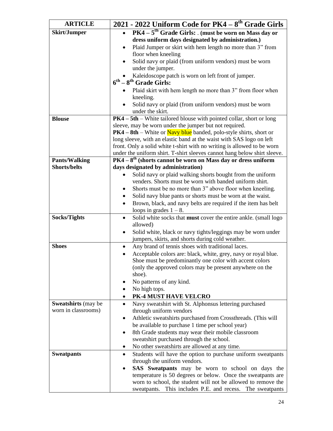| <b>ARTICLE</b>                                    | 2021 - 2022 Uniform Code for PK4 – 8 <sup>th</sup> Grade Girls                                           |  |  |
|---------------------------------------------------|----------------------------------------------------------------------------------------------------------|--|--|
| <b>Skirt/Jumper</b>                               | PK4 - 5 <sup>th</sup> Grade Girls: . (must be worn on Mass day or<br>$\bullet$                           |  |  |
|                                                   | dress uniform days designated by administration.)                                                        |  |  |
|                                                   | Plaid Jumper or skirt with hem length no more than 3" from<br>$\bullet$                                  |  |  |
|                                                   | floor when kneeling                                                                                      |  |  |
|                                                   | Solid navy or plaid (from uniform vendors) must be worn                                                  |  |  |
|                                                   | under the jumper.                                                                                        |  |  |
|                                                   | Kaleidoscope patch is worn on left front of jumper.                                                      |  |  |
|                                                   | $6^{th} - 8^{th}$ Grade Girls:                                                                           |  |  |
|                                                   | • Plaid skirt with hem length no more than 3" from floor when                                            |  |  |
|                                                   | kneeling.                                                                                                |  |  |
|                                                   | Solid navy or plaid (from uniform vendors) must be worn<br>under the skirt.                              |  |  |
| <b>Blouse</b>                                     | $PK4 - 5th - White$ tailored blouse with pointed collar, short or long                                   |  |  |
|                                                   | sleeve, may be worn under the jumper but not required.                                                   |  |  |
|                                                   | $PK4 - 8th$ – White or Navy blue banded, polo-style shirts, short or                                     |  |  |
|                                                   | long sleeve, with an elastic band at the waist with SAS logo on left                                     |  |  |
|                                                   | front. Only a solid white t-shirt with no writing is allowed to be worn                                  |  |  |
|                                                   | under the uniform shirt. T-shirt sleeves cannot hang below shirt sleeve.                                 |  |  |
| <b>Pants/Walking</b>                              | $PK4-8th$ (shorts cannot be worn on Mass day or dress uniform                                            |  |  |
| <b>Shorts/belts</b>                               | days designated by administration)                                                                       |  |  |
|                                                   | Solid navy or plaid walking shorts bought from the uniform                                               |  |  |
|                                                   | venders. Shorts must be worn with banded uniform shirt.                                                  |  |  |
|                                                   | Shorts must be no more than 3" above floor when kneeling.                                                |  |  |
|                                                   | Solid navy blue pants or shorts must be worn at the waist.<br>٠                                          |  |  |
|                                                   | Brown, black, and navy belts are required if the item has belt<br>$\bullet$<br>loops in grades $1 - 8$ . |  |  |
| <b>Socks/Tights</b>                               | Solid white socks that must cover the entire ankle. (small logo<br>$\bullet$                             |  |  |
|                                                   | allowed)                                                                                                 |  |  |
|                                                   | Solid white, black or navy tights/leggings may be worn under<br>$\bullet$                                |  |  |
|                                                   | jumpers, skirts, and shorts during cold weather.                                                         |  |  |
| <b>Shoes</b>                                      | Any brand of tennis shoes with traditional laces.<br>$\bullet$                                           |  |  |
|                                                   | Acceptable colors are: black, white, grey, navy or royal blue.                                           |  |  |
|                                                   | Shoe must be predominantly one color with accent colors                                                  |  |  |
|                                                   | (only the approved colors may be present anywhere on the                                                 |  |  |
|                                                   | shoe).                                                                                                   |  |  |
|                                                   | No patterns of any kind.                                                                                 |  |  |
|                                                   | No high tops.                                                                                            |  |  |
|                                                   | PK-4 MUST HAVE VELCRO<br>$\bullet$                                                                       |  |  |
| <b>Sweatshirts</b> (may be<br>worn in classrooms) | Navy sweatshirt with St. Alphonsus lettering purchased<br>$\bullet$                                      |  |  |
|                                                   | through uniform vendors<br>Athletic sweatshirts purchased from Crossthreads. (This will<br>٠             |  |  |
|                                                   | be available to purchase 1 time per school year)                                                         |  |  |
|                                                   | 8th Grade students may wear their mobile classroom<br>٠                                                  |  |  |
|                                                   | sweatshirt purchased through the school.                                                                 |  |  |
|                                                   | No other sweatshirts are allowed at any time.<br>٠                                                       |  |  |
| <b>Sweatpants</b>                                 | Students will have the option to purchase uniform sweatpants<br>٠                                        |  |  |
|                                                   | through the uniform vendors.                                                                             |  |  |
|                                                   | <b>SAS</b> Sweatpants may be worn to school on days the                                                  |  |  |
|                                                   | temperature is 50 degrees or below. Once the sweatpants are                                              |  |  |
|                                                   | worn to school, the student will not be allowed to remove the                                            |  |  |
|                                                   | sweatpants. This includes P.E. and recess. The sweatpants                                                |  |  |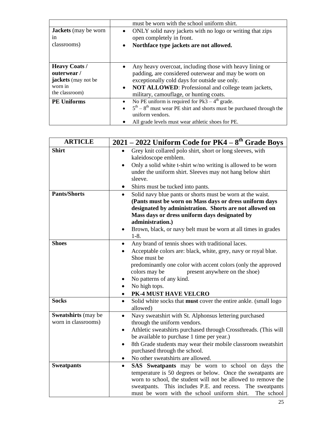|                                                                                               | must be worn with the school uniform shirt.                                                                                                                                                                                                                                                   |
|-----------------------------------------------------------------------------------------------|-----------------------------------------------------------------------------------------------------------------------------------------------------------------------------------------------------------------------------------------------------------------------------------------------|
| <b>Jackets</b> (may be worn<br>1n<br>classrooms)                                              | ONLY solid navy jackets with no logo or writing that zips<br>٠<br>open completely in front.<br>Northface type jackets are not allowed.<br>$\bullet$                                                                                                                                           |
| <b>Heavy Coats /</b><br>outerwear/<br><b>jackets</b> (may not be<br>worn in<br>the classroom) | Any heavy overcoat, including those with heavy lining or<br>$\bullet$<br>padding, are considered outerwear and may be worn on<br>exceptionally cold days for outside use only.<br>NOT ALLOWED: Professional and college team jackets,<br>$\bullet$<br>military, camouflage, or hunting coats. |
| <b>PE Uniforms</b>                                                                            | No PE uniform is required for $Pk3 - 4th$ grade.<br>$\bullet$<br>$\bullet$ 5 <sup>th</sup> – 8 <sup>th</sup> must wear PE shirt and shorts must be purchased through the<br>uniform vendors.<br>All grade levels must wear athletic shoes for PE.                                             |

| <b>ARTICLE</b>      |           | 2021 - 2022 Uniform Code for PK4 - 8 <sup>th</sup> Grade Boys   |  |
|---------------------|-----------|-----------------------------------------------------------------|--|
| <b>Shirt</b>        | $\bullet$ | Grey knit collared polo shirt, short or long sleeves, with      |  |
|                     |           | kaleidoscope emblem.                                            |  |
|                     |           | Only a solid white t-shirt w/no writing is allowed to be worn   |  |
|                     |           | under the uniform shirt. Sleeves may not hang below shirt       |  |
|                     |           | sleeve.                                                         |  |
|                     |           | Shirts must be tucked into pants.                               |  |
| <b>Pants/Shorts</b> | $\bullet$ | Solid navy blue pants or shorts must be worn at the waist.      |  |
|                     |           | (Pants must be worn on Mass days or dress uniform days          |  |
|                     |           | designated by administration. Shorts are not allowed on         |  |
|                     |           | Mass days or dress uniform days designated by                   |  |
|                     |           | administration.)                                                |  |
|                     | ٠         | Brown, black, or navy belt must be worn at all times in grades  |  |
|                     |           | $1-8.$                                                          |  |
| <b>Shoes</b>        | $\bullet$ | Any brand of tennis shoes with traditional laces.               |  |
|                     |           | Acceptable colors are: black, white, grey, navy or royal blue.  |  |
|                     |           | Shoe must be                                                    |  |
|                     |           | predominantly one color with accent colors (only the approved   |  |
|                     |           | colors may be<br>present anywhere on the shoe)                  |  |
|                     |           | No patterns of any kind.                                        |  |
|                     | $\bullet$ | No high tops.                                                   |  |
|                     |           | PK-4 MUST HAVE VELCRO                                           |  |
| <b>Socks</b>        | $\bullet$ | Solid white socks that must cover the entire ankle. (small logo |  |
|                     |           | allowed)                                                        |  |
| Sweatshirts (may be | $\bullet$ | Navy sweatshirt with St. Alphonsus lettering purchased          |  |
| worn in classrooms) |           | through the uniform vendors.                                    |  |
|                     | $\bullet$ | Athletic sweatshirts purchased through Crossthreads. (This will |  |
|                     |           | be available to purchase 1 time per year.)                      |  |
|                     | $\bullet$ | 8th Grade students may wear their mobile classroom sweatshirt   |  |
|                     |           | purchased through the school.                                   |  |
|                     |           | No other sweatshirts are allowed.                               |  |
| <b>Sweatpants</b>   | $\bullet$ | SAS Sweatpants may be worn to school on days the                |  |
|                     |           | temperature is 50 degrees or below. Once the sweatpants are     |  |
|                     |           | worn to school, the student will not be allowed to remove the   |  |
|                     |           | This includes P.E. and recess. The sweatpants<br>sweatpants.    |  |
|                     |           | must be worn with the school uniform shirt.<br>The school       |  |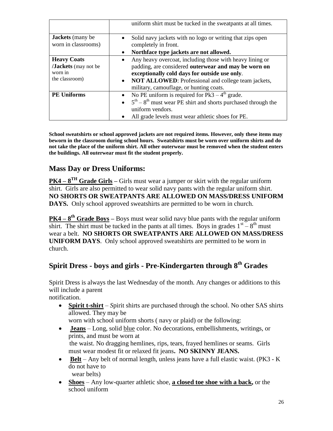|                                                                               | uniform shirt must be tucked in the sweatpants at all times.                                                                                                                                                                                                          |
|-------------------------------------------------------------------------------|-----------------------------------------------------------------------------------------------------------------------------------------------------------------------------------------------------------------------------------------------------------------------|
| <b>Jackets</b> (many be<br>worn in classrooms)                                | Solid navy jackets with no logo or writing that zips open<br>$\bullet$<br>completely in front.                                                                                                                                                                        |
|                                                                               | Northface type jackets are not allowed.<br>$\bullet$                                                                                                                                                                                                                  |
| <b>Heavy Coats</b><br><b>Jackets</b> (may not be<br>worn in<br>the classroom) | Any heavy overcoat, including those with heavy lining or<br>padding, are considered outerwear and may be worn on<br>exceptionally cold days for outside use only.<br>• NOT ALLOWED: Professional and college team jackets,<br>military, camouflage, or hunting coats. |
| <b>PE Uniforms</b>                                                            | • No PE uniform is required for $Pk3 - 4th$ grade.<br>• $5^{\text{th}} - 8^{\text{th}}$ must wear PE shirt and shorts purchased through the<br>uniform vendors.<br>All grade levels must wear athletic shoes for PE.                                                  |

**School sweatshirts or school approved jackets are not required items. However, only these items may beworn in the classroom during school hours. Sweatshirts must be worn over uniform shirts and do not take the place of the uniform shirt. All other outerwear must be removed when the student enters the buildings. All outerwear must fit the student properly.**

## **Mass Day or Dress Uniforms:**

**PK4 – 8 TH Grade Girls –** Girls must wear a jumper or skirt with the regular uniform shirt. Girls are also permitted to wear solid navy pants with the regular uniform shirt. **NO SHORTS OR SWEATPANTS ARE ALLOWED ON MASS/DRESS UNIFORM DAYS.** Only school approved sweatshirts are permitted to be worn in church.

**PK4 – 8 th Grade Boys –** Boys must wear solid navy blue pants with the regular uniform shirt. The shirt must be tucked in the pants at all times. Boys in grades  $1<sup>st</sup> - 8<sup>th</sup>$  must wear a belt. **NO SHORTS OR SWEATPANTS ARE ALLOWED ON MASS/DRESS UNIFORM DAYS**. Only school approved sweatshirts are permitted to be worn in church.

## **Spirit Dress - boys and girls - Pre-Kindergarten through 8th Grades**

Spirit Dress is always the last Wednesday of the month. Any changes or additions to this will include a parent

notification.

• **Spirit t-shirt** – *Spirit shirts are purchased through the school.* No other SAS shirts allowed. They may be

worn with school uniform shorts ( navy or plaid) or the following:

- **Jeans** Long, solid blue color. No decorations, embellishments, writings, or prints, and must be worn at the waist. No dragging hemlines, rips, tears, frayed hemlines or seams. Girls must wear modest fit or relaxed fit jeans**. NO SKINNY JEANS.**
- **Belt** Any belt of normal length, unless jeans have a full elastic waist. (PK3 K do not have to wear belts)
- **Shoes** Any low-quarter athletic shoe, **a closed toe shoe with a back,** or the school uniform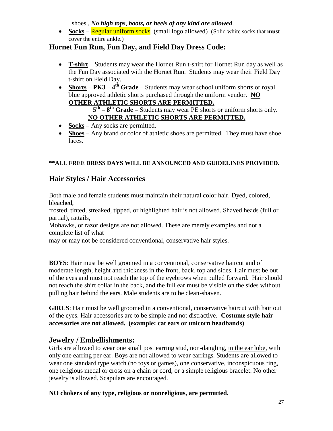shoes., *No high tops*, *boots, or heels of any kind are allowed*.

• **Socks** – **Regular uniform socks.** (small logo allowed) (Solid white socks that **must** cover the entire ankle.)

## **Hornet Fun Run, Fun Day, and Field Day Dress Code:**

- **T-shirt –** Students may wear the Hornet Run t-shirt for Hornet Run day as well as the Fun Day associated with the Hornet Run. Students may wear their Field Day t-shirt on Field Day.
- **Shorts PK3**  $4^{th}$  **Grade** Students may wear school uniform shorts or royal blue approved athletic shorts purchased through the uniform vendor. **NO OTHER ATHLETIC SHORTS ARE PERMITTED.**

## **5 th – 8 th Grade –** Students may wear PE shorts or uniform shorts only. **NO OTHER ATHLETIC SHORTS ARE PERMITTED.**

- **Socks** Any socks are permitted.
- **Shoes** Any brand or color of athletic shoes are permitted. They must have shoe laces.

## **\*\*ALL FREE DRESS DAYS WILL BE ANNOUNCED AND GUIDELINES PROVIDED.**

## **Hair Styles / Hair Accessories**

Both male and female students must maintain their natural color hair. Dyed, colored, bleached,

frosted, tinted, streaked, tipped, or highlighted hair is not allowed. Shaved heads (full or partial), rattails,

Mohawks, or razor designs are not allowed. These are merely examples and not a complete list of what

may or may not be considered conventional, conservative hair styles.

**BOYS**: Hair must be well groomed in a conventional, conservative haircut and of moderate length, height and thickness in the front, back, top and sides. Hair must be out of the eyes and must not reach the top of the eyebrows when pulled forward. Hair should not reach the shirt collar in the back, and the full ear must be visible on the sides without pulling hair behind the ears. Male students are to be clean-shaven.

**GIRLS**: Hair must be well groomed in a conventional, conservative haircut with hair out of the eyes. Hair accessories are to be simple and not distractive. **Costume style hair accessories are not allowed. (example: cat ears or unicorn headbands)**

## **Jewelry / Embellishments:**

Girls are allowed to wear one small post earring stud, non-dangling, in the ear lobe, with only one earring per ear. Boys are not allowed to wear earrings. Students are allowed to wear one standard type watch (no toys or games), one conservative, inconspicuous ring, one religious medal or cross on a chain or cord, or a simple religious bracelet. No other jewelry is allowed. Scapulars are encouraged.

## **NO chokers of any type, religious or nonreligious, are permitted.**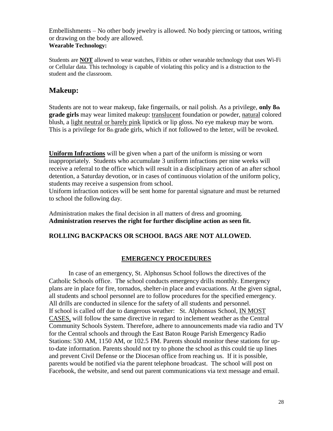Embellishments – No other body jewelry is allowed. No body piercing or tattoos, writing or drawing on the body are allowed. **Wearable Technology:**

Students are **NOT** allowed to wear watches, Fitbits or other wearable technology that uses Wi-Fi or Cellular data. This technology is capable of violating this policy and is a distraction to the student and the classroom.

## **Makeup:**

Students are not to wear makeup, fake fingernails, or nail polish. As a privilege, **only 8th grade girls** may wear limited makeup: translucent foundation or powder, natural colored blush, a light neutral or barely pink lipstick or lip gloss. No eye makeup may be worn. This is a privilege for  $8<sub>th</sub>$  grade girls, which if not followed to the letter, will be revoked.

**Uniform Infractions** will be given when a part of the uniform is missing or worn inappropriately. Students who accumulate 3 uniform infractions per nine weeks will receive a referral to the office which will result in a disciplinary action of an after school detention, a Saturday devotion, or in cases of continuous violation of the uniform policy, students may receive a suspension from school.

Uniform infraction notices will be sent home for parental signature and must be returned to school the following day.

Administration makes the final decision in all matters of dress and grooming. **Administration reserves the right for further discipline action as seen fit.**

## **ROLLING BACKPACKS OR SCHOOL BAGS ARE NOT ALLOWED.**

## **EMERGENCY PROCEDURES**

In case of an emergency, St. Alphonsus School follows the directives of the Catholic Schools office. The school conducts emergency drills monthly. Emergency plans are in place for fire, tornados, shelter-in place and evacuations. At the given signal, all students and school personnel are to follow procedures for the specified emergency. All drills are conducted in silence for the safety of all students and personnel. If school is called off due to dangerous weather: St. Alphonsus School, IN MOST CASES, will follow the same directive in regard to inclement weather as the Central Community Schools System. Therefore, adhere to announcements made via radio and TV for the Central schools and through the East Baton Rouge Parish Emergency Radio Stations: 530 AM, 1150 AM, or 102.5 FM. Parents should monitor these stations for upto-date information. Parents should not try to phone the school as this could tie up lines and prevent Civil Defense or the Diocesan office from reaching us. If it is possible, parents would be notified via the parent telephone broadcast. The school will post on Facebook, the website, and send out parent communications via text message and email.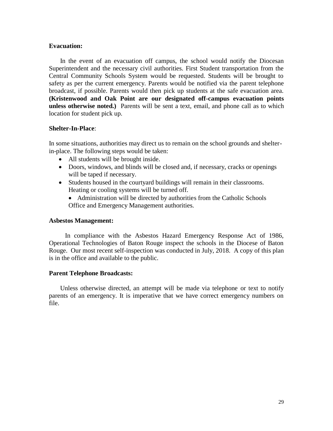#### **Evacuation:**

In the event of an evacuation off campus, the school would notify the Diocesan Superintendent and the necessary civil authorities. First Student transportation from the Central Community Schools System would be requested. Students will be brought to safety as per the current emergency. Parents would be notified via the parent telephone broadcast, if possible. Parents would then pick up students at the safe evacuation area. **(Kristenwood and Oak Point are our designated off-campus evacuation points unless otherwise noted.)** Parents will be sent a text, email, and phone call as to which location for student pick up.

#### **Shelter-In-Place**:

In some situations, authorities may direct us to remain on the school grounds and shelterin-place. The following steps would be taken:

- All students will be brought inside.
- Doors, windows, and blinds will be closed and, if necessary, cracks or openings will be taped if necessary.
- Students housed in the courtyard buildings will remain in their classrooms. Heating or cooling systems will be turned off.
	- Administration will be directed by authorities from the Catholic Schools Office and Emergency Management authorities.

#### **Asbestos Management:**

In compliance with the Asbestos Hazard Emergency Response Act of 1986, Operational Technologies of Baton Rouge inspect the schools in the Diocese of Baton Rouge. Our most recent self-inspection was conducted in July, 2018. A copy of this plan is in the office and available to the public.

#### **Parent Telephone Broadcasts:**

Unless otherwise directed, an attempt will be made via telephone or text to notify parents of an emergency. It is imperative that we have correct emergency numbers on file.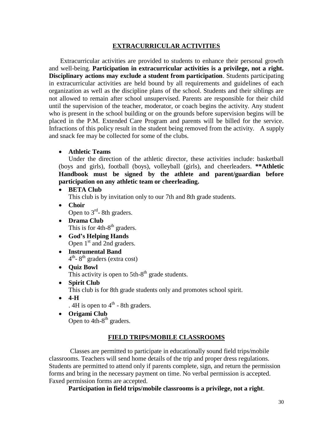## **EXTRACURRICULAR ACTIVITIES**

Extracurricular activities are provided to students to enhance their personal growth and well-being. **Participation in extracurricular activities is a privilege, not a right. Disciplinary actions may exclude a student from participation**. Students participating in extracurricular activities are held bound by all requirements and guidelines of each organization as well as the discipline plans of the school. Students and their siblings are not allowed to remain after school unsupervised. Parents are responsible for their child until the supervision of the teacher, moderator, or coach begins the activity. Any student who is present in the school building or on the grounds before supervision begins will be placed in the P.M. Extended Care Program and parents will be billed for the service. Infractions of this policy result in the student being removed from the activity. A supply and snack fee may be collected for some of the clubs.

**Athletic Teams** 

Under the direction of the athletic director, these activities include: basketball (boys and girls), football (boys), volleyball (girls), and cheerleaders. **\*\*Athletic Handbook must be signed by the athlete and parent/guardian before participation on any athletic team or cheerleading.**

**BETA Club** 

This club is by invitation only to our 7th and 8th grade students.

- **Choir**  Open to  $3<sup>rd</sup>$ - 8th graders.
- **Drama Club** This is for  $4th-8<sup>th</sup>$  graders.
- **God's Helping Hands** Open  $1<sup>st</sup>$  and 2nd graders.
- **Instrumental Band** 4<sup>th</sup>-8<sup>th</sup> graders (extra cost)
- **Quiz Bowl**

This activity is open to  $5th-8<sup>th</sup>$  grade students.

**Spirit Club** 

This club is for 8th grade students only and promotes school spirit.

**4-H** 

. 4H is open to  $4^{\text{th}}$  - 8th graders.

 **Origami Club** Open to  $4th-8<sup>th</sup>$  graders.

#### **FIELD TRIPS/MOBILE CLASSROOMS**

 Classes are permitted to participate in educationally sound field trips/mobile classrooms. Teachers will send home details of the trip and proper dress regulations. Students are permitted to attend only if parents complete, sign, and return the permission forms and bring in the necessary payment on time. No verbal permission is accepted. Faxed permission forms are accepted.

**Participation in field trips/mobile classrooms is a privilege, not a right**.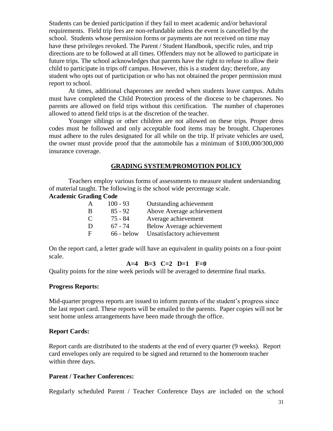Students can be denied participation if they fail to meet academic and/or behavioral requirements. Field trip fees are non-refundable unless the event is cancelled by the school. Students whose permission forms or payments are not received on time may have these privileges revoked. The Parent / Student Handbook, specific rules, and trip directions are to be followed at all times. Offenders may not be allowed to participate in future trips. The school acknowledges that parents have the right to refuse to allow their child to participate in trips off campus. However, this is a student day; therefore, any student who opts out of participation or who has not obtained the proper permission must report to school.

At times, additional chaperones are needed when students leave campus. Adults must have completed the Child Protection process of the diocese to be chaperones. No parents are allowed on field trips without this certification. The number of chaperones allowed to attend field trips is at the discretion of the teacher.

Younger siblings or other children are not allowed on these trips. Proper dress codes must be followed and only acceptable food items may be brought. Chaperones must adhere to the rules designated for all while on the trip. If private vehicles are used, the owner must provide proof that the automobile has a minimum of \$100,000/300,000 insurance coverage.

#### **GRADING SYSTEM/PROMOTION POLICY**

Teachers employ various forms of assessments to measure student understanding of material taught. The following is the school wide percentage scale.

#### **Academic Grading Code**

| A | $100 - 93$   | Outstanding achievement          |
|---|--------------|----------------------------------|
| B | $85 - 92$    | Above Average achievement        |
| C | 75 - 84      | Average achievement              |
| D | $67 - 74$    | <b>Below Average achievement</b> |
| F | $66 - below$ | Unsatisfactory achievement       |

On the report card, a letter grade will have an equivalent in quality points on a four-point scale.

## **A=4 B=3 C=2 D=1 F=0**

Quality points for the nine week periods will be averaged to determine final marks.

#### **Progress Reports:**

Mid-quarter progress reports are issued to inform parents of the student's progress since the last report card. These reports will be emailed to the parents. Paper copies will not be sent home unless arrangements have been made through the office.

#### **Report Cards:**

Report cards are distributed to the students at the end of every quarter (9 weeks).Report card envelopes only are required to be signed and returned to the homeroom teacher within three days.

#### **Parent / Teacher Conferences:**

Regularly scheduled Parent / Teacher Conference Days are included on the school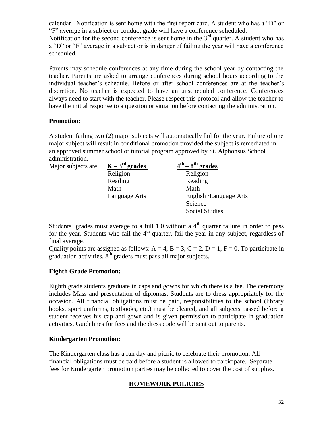calendar. Notification is sent home with the first report card. A student who has a "D" or "F" average in a subject or conduct grade will have a conference scheduled.

Notification for the second conference is sent home in the  $3<sup>rd</sup>$  quarter. A student who has a "D" or "F" average in a subject or is in danger of failing the year will have a conference scheduled.

Parents may schedule conferences at any time during the school year by contacting the teacher. Parents are asked to arrange conferences during school hours according to the individual teacher's schedule. Before or after school conferences are at the teacher's discretion. No teacher is expected to have an unscheduled conference. Conferences always need to start with the teacher. Please respect this protocol and allow the teacher to have the initial response to a question or situation before contacting the administration.

## **Promotion:**

A student failing two (2) major subjects will automatically fail for the year. Failure of one major subject will result in conditional promotion provided the subject is remediated in an approved summer school or tutorial program approved by St. Alphonsus School administration.

| Major subjects are: | $K-3^{rd}$ grades | $4^{\text{th}} - 8^{\text{th}}$ grades |
|---------------------|-------------------|----------------------------------------|
|                     | Religion          | Religion                               |
|                     | Reading           | Reading                                |
|                     | Math              | Math                                   |
|                     | Language Arts     | English /Language Arts                 |
|                     |                   | Science                                |
|                     |                   | <b>Social Studies</b>                  |

Students' grades must average to a full 1.0 without a  $4<sup>th</sup>$  quarter failure in order to pass for the year. Students who fail the  $4<sup>th</sup>$  quarter, fail the year in any subject, regardless of final average.

Quality points are assigned as follows:  $A = 4$ ,  $B = 3$ ,  $C = 2$ ,  $D = 1$ ,  $F = 0$ . To participate in graduation activities,  $8<sup>th</sup>$  graders must pass all major subjects.

## **Eighth Grade Promotion:**

Eighth grade students graduate in caps and gowns for which there is a fee. The ceremony includes Mass and presentation of diplomas. Students are to dress appropriately for the occasion. All financial obligations must be paid, responsibilities to the school (library books, sport uniforms, textbooks, etc.) must be cleared, and all subjects passed before a student receives his cap and gown and is given permission to participate in graduation activities. Guidelines for fees and the dress code will be sent out to parents.

## **Kindergarten Promotion:**

The Kindergarten class has a fun day and picnic to celebrate their promotion. All financial obligations must be paid before a student is allowed to participate. Separate fees for Kindergarten promotion parties may be collected to cover the cost of supplies.

## **HOMEWORK POLICIES**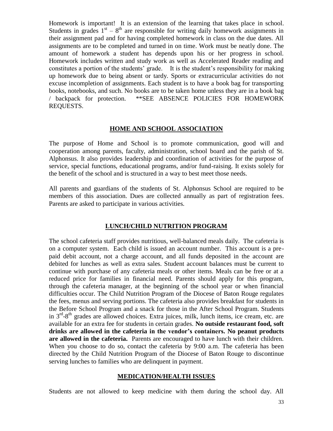Homework is important! It is an extension of the learning that takes place in school. Students in grades  $1<sup>st</sup> - 8<sup>th</sup>$  are responsible for writing daily homework assignments in their assignment pad and for having completed homework in class on the due dates. All assignments are to be completed and turned in on time. Work must be neatly done. The amount of homework a student has depends upon his or her progress in school. Homework includes written and study work as well as Accelerated Reader reading and constitutes a portion of the students' grade. It is the student's responsibility for making up homework due to being absent or tardy. Sports or extracurricular activities do not excuse incompletion of assignments. Each student is to have a book bag for transporting books, notebooks, and such. No books are to be taken home unless they are in a book bag / backpack for protection. \*\*SEE ABSENCE POLICIES FOR HOMEWORK REQUESTS.

#### **HOME AND SCHOOL ASSOCIATION**

The purpose of Home and School is to promote communication, good will and cooperation among parents, faculty, administration, school board and the parish of St. Alphonsus. It also provides leadership and coordination of activities for the purpose of service, special functions, educational programs, and/or fund-raising. It exists solely for the benefit of the school and is structured in a way to best meet those needs.

All parents and guardians of the students of St. Alphonsus School are required to be members of this association. Dues are collected annually as part of registration fees. Parents are asked to participate in various activities.

#### **LUNCH/CHILD NUTRITION PROGRAM**

The school cafeteria staff provides nutritious, well-balanced meals daily. The cafeteria is on a computer system. Each child is issued an account number. This account is a prepaid debit account, not a charge account, and all funds deposited in the account are debited for lunches as well as extra sales. Student account balances must be current to continue with purchase of any cafeteria meals or other items. Meals can be free or at a reduced price for families in financial need. Parents should apply for this program, through the cafeteria manager, at the beginning of the school year or when financial difficulties occur. The Child Nutrition Program of the Diocese of Baton Rouge regulates the fees, menus and serving portions. The cafeteria also provides breakfast for students in the Before School Program and a snack for those in the After School Program. Students in  $3<sup>rd</sup> - 8<sup>th</sup>$  grades are allowed choices. Extra juices, milk, lunch items, ice cream, etc. are available for an extra fee for students in certain grades. **No outside restaurant food, soft drinks are allowed in the cafeteria in the vendor's containers. No peanut products are allowed in the cafeteria.** Parents are encouraged to have lunch with their children. When you choose to do so, contact the cafeteria by 9:00 a.m. The cafeteria has been directed by the Child Nutrition Program of the Diocese of Baton Rouge to discontinue serving lunches to families who are delinquent in payment.

#### **MEDICATION/HEALTH ISSUES**

Students are not allowed to keep medicine with them during the school day. All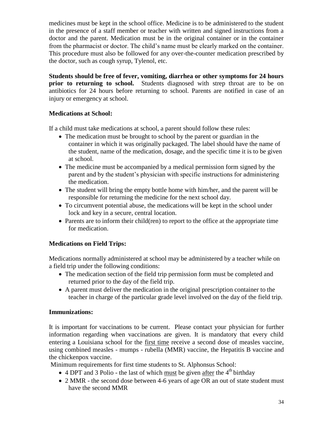medicines must be kept in the school office. Medicine is to be administered to the student in the presence of a staff member or teacher with written and signed instructions from a doctor and the parent. Medication must be in the original container or in the container from the pharmacist or doctor. The child's name must be clearly marked on the container. This procedure must also be followed for any over-the-counter medication prescribed by the doctor, such as cough syrup, Tylenol, etc.

**Students should be free of fever, vomiting, diarrhea or other symptoms for 24 hours prior to returning to school.** Students diagnosed with strep throat are to be on antibiotics for 24 hours before returning to school. Parents are notified in case of an injury or emergency at school.

## **Medications at School:**

If a child must take medications at school, a parent should follow these rules:

- The medication must be brought to school by the parent or guardian in the container in which it was originally packaged. The label should have the name of the student, name of the medication, dosage, and the specific time it is to be given at school.
- The medicine must be accompanied by a medical permission form signed by the parent and by the student's physician with specific instructions for administering the medication.
- The student will bring the empty bottle home with him/her, and the parent will be responsible for returning the medicine for the next school day.
- To circumvent potential abuse, the medications will be kept in the school under lock and key in a secure, central location.
- Parents are to inform their child(ren) to report to the office at the appropriate time for medication.

## **Medications on Field Trips:**

Medications normally administered at school may be administered by a teacher while on a field trip under the following conditions:

- The medication section of the field trip permission form must be completed and returned prior to the day of the field trip.
- A parent must deliver the medication in the original prescription container to the teacher in charge of the particular grade level involved on the day of the field trip.

## **Immunizations:**

It is important for vaccinations to be current. Please contact your physician for further information regarding when vaccinations are given. It is mandatory that every child entering a Louisiana school for the first time receive a second dose of measles vaccine, using combined measles - mumps - rubella (MMR) vaccine, the Hepatitis B vaccine and the chickenpox vaccine.

Minimum requirements for first time students to St. Alphonsus School:

- $\bullet$  4 DPT and 3 Polio the last of which must be given after the 4<sup>th</sup> birthday
- 2 MMR the second dose between 4-6 years of age OR an out of state student must have the second MMR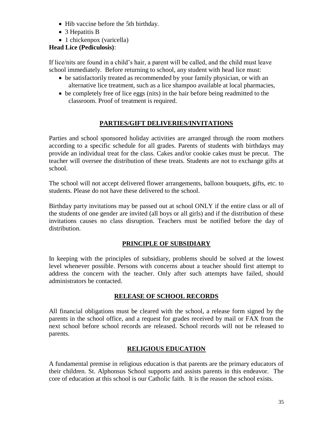- Hib vaccine before the 5th birthday.
- 3 Hepatitis B
- 1 chickenpox (varicella)

## **Head Lice (Pediculosis)**:

If lice/nits are found in a child's hair, a parent will be called, and the child must leave school immediately. Before returning to school, any student with head lice must:

- be satisfactorily treated as recommended by your family physician, or with an alternative lice treatment, such as a lice shampoo available at local pharmacies,
- be completely free of lice eggs (nits) in the hair before being readmitted to the classroom. Proof of treatment is required.

## **PARTIES/GIFT DELIVERIES/INVITATIONS**

Parties and school sponsored holiday activities are arranged through the room mothers according to a specific schedule for all grades. Parents of students with birthdays may provide an individual treat for the class. Cakes and/or cookie cakes must be precut. The teacher will oversee the distribution of these treats. Students are not to exchange gifts at school.

The school will not accept delivered flower arrangements, balloon bouquets, gifts, etc. to students. Please do not have these delivered to the school.

Birthday party invitations may be passed out at school ONLY if the entire class or all of the students of one gender are invited (all boys or all girls) and if the distribution of these invitations causes no class disruption. Teachers must be notified before the day of distribution.

## **PRINCIPLE OF SUBSIDIARY**

In keeping with the principles of subsidiary, problems should be solved at the lowest level whenever possible. Persons with concerns about a teacher should first attempt to address the concern with the teacher. Only after such attempts have failed, should administrators be contacted.

## **RELEASE OF SCHOOL RECORDS**

All financial obligations must be cleared with the school, a release form signed by the parents in the school office, and a request for grades received by mail or FAX from the next school before school records are released. School records will not be released to parents.

## **RELIGIOUS EDUCATION**

A fundamental premise in religious education is that parents are the primary educators of their children. St. Alphonsus School supports and assists parents in this endeavor. The core of education at this school is our Catholic faith. It is the reason the school exists.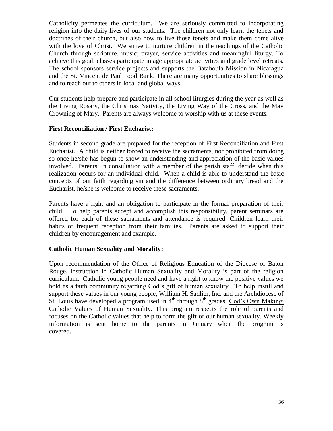Catholicity permeates the curriculum. We are seriously committed to incorporating religion into the daily lives of our students. The children not only learn the tenets and doctrines of their church, but also how to live those tenets and make them come alive with the love of Christ. We strive to nurture children in the teachings of the Catholic Church through scripture, music, prayer, service activities and meaningful liturgy. To achieve this goal, classes participate in age appropriate activities and grade level retreats. The school sponsors service projects and supports the Batahoula Mission in Nicaragua and the St. Vincent de Paul Food Bank. There are many opportunities to share blessings and to reach out to others in local and global ways.

Our students help prepare and participate in all school liturgies during the year as well as the Living Rosary, the Christmas Nativity, the Living Way of the Cross, and the May Crowning of Mary. Parents are always welcome to worship with us at these events.

#### **First Reconciliation / First Eucharist:**

Students in second grade are prepared for the reception of First Reconciliation and First Eucharist. A child is neither forced to receive the sacraments, nor prohibited from doing so once he/she has begun to show an understanding and appreciation of the basic values involved. Parents, in consultation with a member of the parish staff, decide when this realization occurs for an individual child. When a child is able to understand the basic concepts of our faith regarding sin and the difference between ordinary bread and the Eucharist, he/she is welcome to receive these sacraments.

Parents have a right and an obligation to participate in the formal preparation of their child. To help parents accept and accomplish this responsibility, parent seminars are offered for each of these sacraments and attendance is required. Children learn their habits of frequent reception from their families. Parents are asked to support their children by encouragement and example.

## **Catholic Human Sexuality and Morality:**

Upon recommendation of the Office of Religious Education of the Diocese of Baton Rouge, instruction in Catholic Human Sexuality and Morality is part of the religion curriculum. Catholic young people need and have a right to know the positive values we hold as a faith community regarding God's gift of human sexuality. To help instill and support these values in our young people, William H. Sadlier, Inc. and the Archdiocese of St. Louis have developed a program used in  $4<sup>th</sup>$  through  $8<sup>th</sup>$  grades, God's Own Making: Catholic Values of Human Sexuality. This program respects the role of parents and focuses on the Catholic values that help to form the gift of our human sexuality. Weekly information is sent home to the parents in January when the program is covered.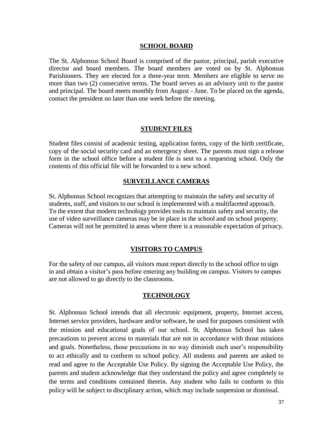#### **SCHOOL BOARD**

The St. Alphonsus School Board is comprised of the pastor, principal, parish executive director and board members. The board members are voted on by St. Alphonsus Parishioners. They are elected for a three-year term. Members are eligible to serve no more than two (2) consecutive terms. The board serves as an advisory unit to the pastor and principal. The board meets monthly from August - June. To be placed on the agenda, contact the president no later than one week before the meeting.

#### **STUDENT FILES**

Student files consist of academic testing, application forms, copy of the birth certificate, copy of the social security card and an emergency sheet. The parents must sign a release form in the school office before a student file is sent to a requesting school. Only the contents of this official file will be forwarded to a new school.

#### **SURVEILLANCE CAMERAS**

St. Alphonsus School recognizes that attempting to maintain the safety and security of students, staff, and visitors to our school is implemented with a multifaceted approach. To the extent that modern technology provides tools to maintain safety and security, the use of video surveillance cameras may be in place in the school and on school property. Cameras will not be permitted in areas where there is a reasonable expectation of privacy.

#### **VISITORS TO CAMPUS**

For the safety of our campus, all visitors must report directly to the school office to sign in and obtain a visitor's pass before entering any building on campus. Visitors to campus are not allowed to go directly to the classrooms.

#### **TECHNOLOGY**

St. Alphonsus School intends that all electronic equipment, property, Internet access, Internet service providers, hardware and/or software, be used for purposes consistent with the mission and educational goals of our school. St. Alphonsus School has taken precautions to prevent access to materials that are not in accordance with those missions and goals. Nonetheless, those precautions in no way diminish each user's responsibility to act ethically and to conform to school policy. All students and parents are asked to read and agree to the Acceptable Use Policy. By signing the Acceptable Use Policy, the parents and student acknowledge that they understand the policy and agree completely to the terms and conditions contained therein. Any student who fails to conform to this policy will be subject to disciplinary action, which may include suspension or dismissal.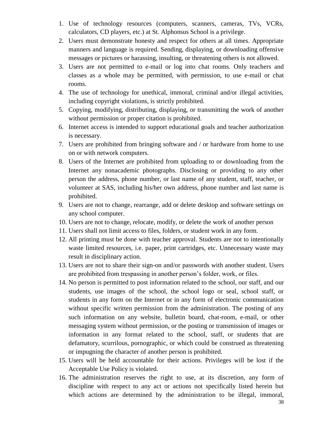- 1. Use of technology resources (computers, scanners, cameras, TVs, VCRs, calculators, CD players, etc.) at St. Alphonsus School is a privilege.
- 2. Users must demonstrate honesty and respect for others at all times. Appropriate manners and language is required. Sending, displaying, or downloading offensive messages or pictures or harassing, insulting, or threatening others is not allowed.
- 3. Users are not permitted to e-mail or log into chat rooms. Only teachers and classes as a whole may be permitted, with permission, to use e-mail or chat rooms.
- 4. The use of technology for unethical, immoral, criminal and/or illegal activities, including copyright violations, is strictly prohibited.
- 5. Copying, modifying, distributing, displaying, or transmitting the work of another without permission or proper citation is prohibited.
- 6. Internet access is intended to support educational goals and teacher authorization is necessary.
- 7. Users are prohibited from bringing software and / or hardware from home to use on or with network computers.
- 8. Users of the Internet are prohibited from uploading to or downloading from the Internet any nonacademic photographs. Disclosing or providing to any other person the address, phone number, or last name of any student, staff, teacher, or volunteer at SAS, including his/her own address, phone number and last name is prohibited.
- 9. Users are not to change, rearrange, add or delete desktop and software settings on any school computer.
- 10. Users are not to change, relocate, modify, or delete the work of another person
- 11. Users shall not limit access to files, folders, or student work in any form.
- 12. All printing must be done with teacher approval. Students are not to intentionally waste limited resources, i.e. paper, print cartridges, etc. Unnecessary waste may result in disciplinary action.
- 13. Users are not to share their sign-on and/or passwords with another student. Users are prohibited from trespassing in another person's folder, work, or files.
- 14. No person is permitted to post information related to the school, our staff, and our students, use images of the school, the school logo or seal, school staff, or students in any form on the Internet or in any form of electronic communication without specific written permission from the administration. The posting of any such information on any website, bulletin board, chat-room, e-mail, or other messaging system without permission, or the posting or transmission of images or information in any format related to the school, staff, or students that are defamatory, scurrilous, pornographic, or which could be construed as threatening or impugning the character of another person is prohibited.
- 15. Users will be held accountable for their actions. Privileges will be lost if the Acceptable Use Policy is violated.
- 16. The administration reserves the right to use, at its discretion, any form of discipline with respect to any act or actions not specifically listed herein but which actions are determined by the administration to be illegal, immoral,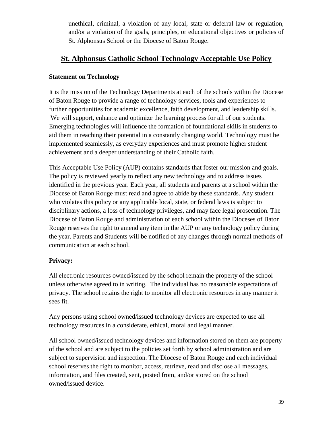unethical, criminal, a violation of any local, state or deferral law or regulation, and/or a violation of the goals, principles, or educational objectives or policies of St. Alphonsus School or the Diocese of Baton Rouge.

## **St. Alphonsus Catholic School Technology Acceptable Use Policy**

## **Statement on Technology**

It is the mission of the Technology Departments at each of the schools within the Diocese of Baton Rouge to provide a range of technology services, tools and experiences to further opportunities for academic excellence, faith development, and leadership skills. We will support, enhance and optimize the learning process for all of our students. Emerging technologies will influence the formation of foundational skills in students to aid them in reaching their potential in a constantly changing world. Technology must be implemented seamlessly, as everyday experiences and must promote higher student achievement and a deeper understanding of their Catholic faith.

This Acceptable Use Policy (AUP) contains standards that foster our mission and goals. The policy is reviewed yearly to reflect any new technology and to address issues identified in the previous year. Each year, all students and parents at a school within the Diocese of Baton Rouge must read and agree to abide by these standards. Any student who violates this policy or any applicable local, state, or federal laws is subject to disciplinary actions, a loss of technology privileges, and may face legal prosecution. The Diocese of Baton Rouge and administration of each school within the Dioceses of Baton Rouge reserves the right to amend any item in the AUP or any technology policy during the year. Parents and Students will be notified of any changes through normal methods of communication at each school.

## **Privacy:**

All electronic resources owned/issued by the school remain the property of the school unless otherwise agreed to in writing. The individual has no reasonable expectations of privacy. The school retains the right to monitor all electronic resources in any manner it sees fit.

Any persons using school owned/issued technology devices are expected to use all technology resources in a considerate, ethical, moral and legal manner.

All school owned/issued technology devices and information stored on them are property of the school and are subject to the policies set forth by school administration and are subject to supervision and inspection. The Diocese of Baton Rouge and each individual school reserves the right to monitor, access, retrieve, read and disclose all messages, information, and files created, sent, posted from, and/or stored on the school owned/issued device.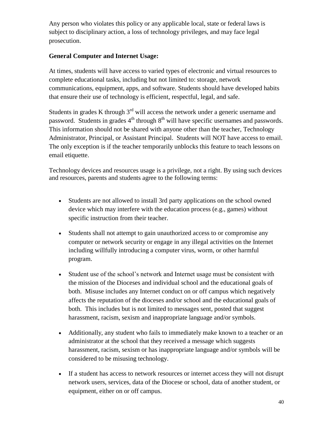Any person who violates this policy or any applicable local, state or federal laws is subject to disciplinary action, a loss of technology privileges, and may face legal prosecution.

## **General Computer and Internet Usage:**

At times, students will have access to varied types of electronic and virtual resources to complete educational tasks, including but not limited to: storage, network communications, equipment, apps, and software. Students should have developed habits that ensure their use of technology is efficient, respectful, legal, and safe.

Students in grades K through  $3<sup>rd</sup>$  will access the network under a generic username and password. Students in grades  $4<sup>th</sup>$  through  $8<sup>th</sup>$  will have specific usernames and passwords. This information should not be shared with anyone other than the teacher, Technology Administrator, Principal, or Assistant Principal. Students will NOT have access to email. The only exception is if the teacher temporarily unblocks this feature to teach lessons on email etiquette.

Technology devices and resources usage is a privilege, not a right. By using such devices and resources, parents and students agree to the following terms:

- Students are not allowed to install 3rd party applications on the school owned device which may interfere with the education process (e.g., games) without specific instruction from their teacher.
- Students shall not attempt to gain unauthorized access to or compromise any computer or network security or engage in any illegal activities on the Internet including willfully introducing a computer virus, worm, or other harmful program.
- Student use of the school's network and Internet usage must be consistent with the mission of the Dioceses and individual school and the educational goals of both. Misuse includes any Internet conduct on or off campus which negatively affects the reputation of the dioceses and/or school and the educational goals of both. This includes but is not limited to messages sent, posted that suggest harassment, racism, sexism and inappropriate language and/or symbols.
- Additionally, any student who fails to immediately make known to a teacher or an administrator at the school that they received a message which suggests harassment, racism, sexism or has inappropriate language and/or symbols will be considered to be misusing technology.
- If a student has access to network resources or internet access they will not disrupt network users, services, data of the Diocese or school, data of another student, or equipment, either on or off campus.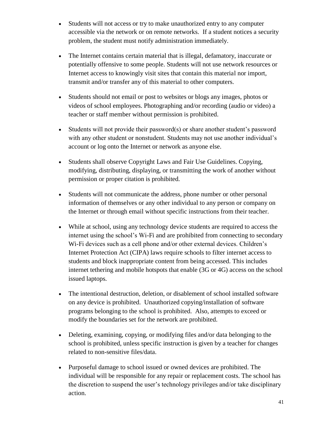- Students will not access or try to make unauthorized entry to any computer accessible via the network or on remote networks. If a student notices a security problem, the student must notify administration immediately.
- The Internet contains certain material that is illegal, defamatory, inaccurate or potentially offensive to some people. Students will not use network resources or Internet access to knowingly visit sites that contain this material nor import, transmit and/or transfer any of this material to other computers.
- Students should not email or post to websites or blogs any images, photos or videos of school employees. Photographing and/or recording (audio or video) a teacher or staff member without permission is prohibited.
- Students will not provide their password(s) or share another student's password with any other student or nonstudent. Students may not use another individual's account or log onto the Internet or network as anyone else.
- Students shall observe Copyright Laws and Fair Use Guidelines. Copying, modifying, distributing, displaying, or transmitting the work of another without permission or proper citation is prohibited.
- Students will not communicate the address, phone number or other personal information of themselves or any other individual to any person or company on the Internet or through email without specific instructions from their teacher.
- While at school, using any technology device students are required to access the internet using the school's Wi-Fi and are prohibited from connecting to secondary Wi-Fi devices such as a cell phone and/or other external devices. Children's Internet Protection Act (CIPA) laws require schools to filter internet access to students and block inappropriate content from being accessed. This includes internet tethering and mobile hotspots that enable (3G or 4G) access on the school issued laptops.
- The intentional destruction, deletion, or disablement of school installed software on any device is prohibited. Unauthorized copying/installation of software programs belonging to the school is prohibited. Also, attempts to exceed or modify the boundaries set for the network are prohibited.
- Deleting, examining, copying, or modifying files and/or data belonging to the school is prohibited, unless specific instruction is given by a teacher for changes related to non-sensitive files/data.
- Purposeful damage to school issued or owned devices are prohibited. The individual will be responsible for any repair or replacement costs. The school has the discretion to suspend the user's technology privileges and/or take disciplinary action.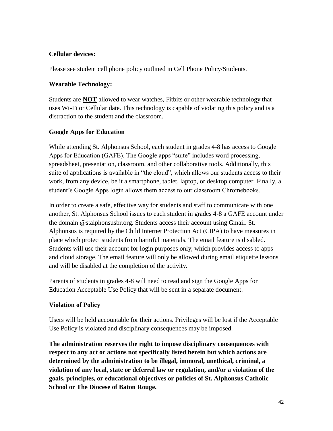## **Cellular devices:**

Please see student cell phone policy outlined in Cell Phone Policy/Students.

## **Wearable Technology:**

Students are **NOT** allowed to wear watches, Fitbits or other wearable technology that uses Wi-Fi or Cellular date. This technology is capable of violating this policy and is a distraction to the student and the classroom.

## **Google Apps for Education**

While attending St. Alphonsus School, each student in grades 4-8 has access to Google Apps for Education (GAFE). The Google apps "suite" includes word processing, spreadsheet, presentation, classroom, and other collaborative tools. Additionally, this suite of applications is available in "the cloud", which allows our students access to their work, from any device, be it a smartphone, tablet, laptop, or desktop computer. Finally, a student's Google Apps login allows them access to our classroom Chromebooks.

In order to create a safe, effective way for students and staff to communicate with one another, St. Alphonsus School issues to each student in grades 4-8 a GAFE account under the domain @stalphonsusbr.org. Students access their account using Gmail. St. Alphonsus is required by the Child Internet Protection Act (CIPA) to have measures in place which protect students from harmful materials. The email feature is disabled. Students will use their account for login purposes only, which provides access to apps and cloud storage. The email feature will only be allowed during email etiquette lessons and will be disabled at the completion of the activity.

Parents of students in grades 4-8 will need to read and sign the Google Apps for Education Acceptable Use Policy that will be sent in a separate document.

## **Violation of Policy**

Users will be held accountable for their actions. Privileges will be lost if the Acceptable Use Policy is violated and disciplinary consequences may be imposed.

**The administration reserves the right to impose disciplinary consequences with respect to any act or actions not specifically listed herein but which actions are determined by the administration to be illegal, immoral, unethical, criminal, a violation of any local, state or deferral law or regulation, and/or a violation of the goals, principles, or educational objectives or policies of St. Alphonsus Catholic School or The Diocese of Baton Rouge.**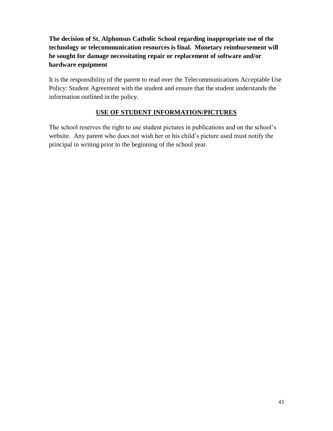## **The decision of St. Alphonsus Catholic School regarding inappropriate use of the technology or telecommunication resources is final. Monetary reimbursement will be sought for damage necessitating repair or replacement of software and/or hardware equipment**

It is the responsibility of the parent to read over the Telecommunications Acceptable Use Policy: Student Agreement with the student and ensure that the student understands the information outlined in the policy.

## **USE OF STUDENT INFORMATION/PICTURES**

The school reserves the right to use student pictures in publications and on the school's website. Any parent who does not wish her or his child's picture used must notify the principal in writing prior to the beginning of the school year.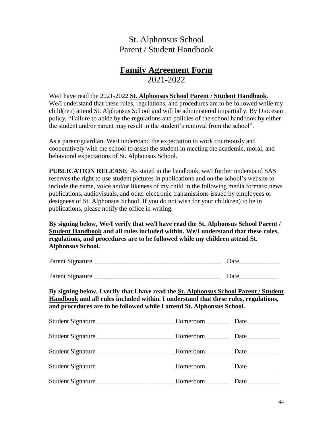## St. Alphonsus School Parent / Student Handbook

## **Family Agreement Form** 2021-2022

We/I have read the 2021-2022 **St. Alphonsus School Parent / Student Handbook**. We/I understand that these rules, regulations, and procedures are to be followed while my child(ren) attend St. Alphonsus School and will be administered impartially. By Diocesan policy, "Failure to abide by the regulations and policies of the school handbook by either the student and/or parent may result in the student's removal from the school".

As a parent/guardian, We/I understand the expectation to work courteously and cooperatively with the school to assist the student in meeting the academic, moral, and behavioral expectations of St. Alphonsus School.

**PUBLICATION RELEASE**: As stated in the handbook, we/I further understand SAS reserves the right to use student pictures in publications and on the school's website to include the name, voice and/or likeness of my child in the following media formats: news publications, audiovisuals, and other electronic transmissions issued by employees or designees of St. Alphonsus School. If you do not wish for your child(ren) to be in publications, please notify the office in writing.

**By signing below, We/I verify that we/I have read the St. Alphonsus School Parent / Student Handbook and all rules included within. We/I understand that these rules, regulations, and procedures are to be followed while my children attend St. Alphonsus School.**

| Parent Signature | Date |
|------------------|------|
|                  |      |
| Parent Signature | Date |

**By signing below, I verify that I have read the St. Alphonsus School Parent / Student Handbook and all rules included within. I understand that these rules, regulations, and procedures are to be followed while I attend St. Alphonsus School.**

| Student Signature | Homeroom Date |      |
|-------------------|---------------|------|
|                   |               |      |
| Student Signature | Homeroom Date |      |
|                   |               |      |
|                   |               | Date |